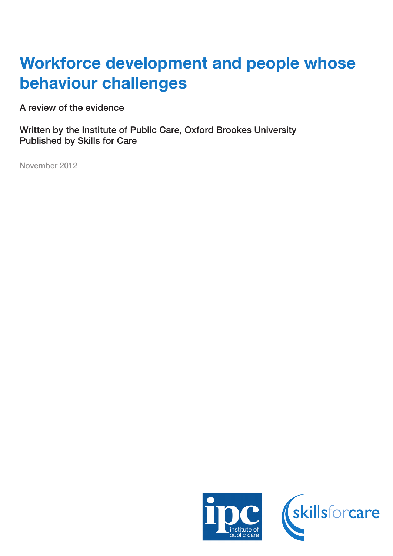# Workforce development and people whose behaviour challenges

A review of the evidence

Written by the Institute of Public Care, Oxford Brookes University Published by Skills for Care

November 2012

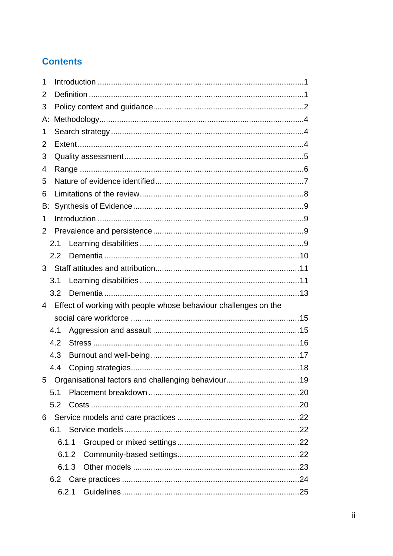## **Contents**

| 1  |       |                                                                 |  |  |  |
|----|-------|-----------------------------------------------------------------|--|--|--|
| 2  |       |                                                                 |  |  |  |
| 3  |       |                                                                 |  |  |  |
| А: |       |                                                                 |  |  |  |
| 1  |       |                                                                 |  |  |  |
| 2  |       |                                                                 |  |  |  |
| 3  |       |                                                                 |  |  |  |
| 4  |       |                                                                 |  |  |  |
| 5  |       |                                                                 |  |  |  |
| 6  |       |                                                                 |  |  |  |
| В: |       |                                                                 |  |  |  |
| 1  |       |                                                                 |  |  |  |
| 2  |       |                                                                 |  |  |  |
|    | 2.1   |                                                                 |  |  |  |
|    | 2.2   |                                                                 |  |  |  |
| 3  |       |                                                                 |  |  |  |
|    | 3.1   |                                                                 |  |  |  |
|    | 3.2   |                                                                 |  |  |  |
| 4  |       | Effect of working with people whose behaviour challenges on the |  |  |  |
|    |       |                                                                 |  |  |  |
|    | 4.1   |                                                                 |  |  |  |
|    | 4.2   |                                                                 |  |  |  |
|    | 4.3   |                                                                 |  |  |  |
|    | 4.4   |                                                                 |  |  |  |
| 5  |       | Organisational factors and challenging behaviour19              |  |  |  |
|    | 5.1   |                                                                 |  |  |  |
|    | 5.2   |                                                                 |  |  |  |
| 6  |       |                                                                 |  |  |  |
|    |       |                                                                 |  |  |  |
|    | 6.1.1 |                                                                 |  |  |  |
|    | 6.1.2 |                                                                 |  |  |  |
|    | 6.1.3 |                                                                 |  |  |  |
|    |       |                                                                 |  |  |  |
|    | 6.2.1 |                                                                 |  |  |  |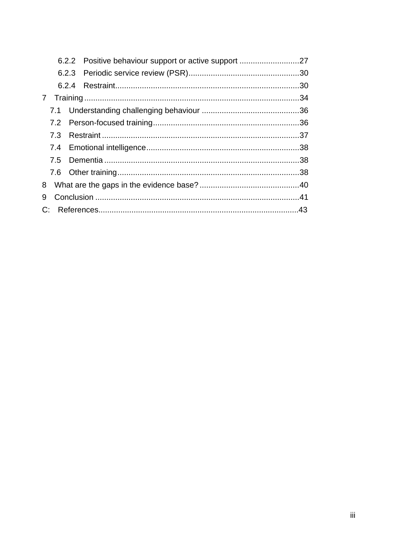|   |  | 6.2.2 Positive behaviour support or active support 27 |  |  |  |
|---|--|-------------------------------------------------------|--|--|--|
|   |  |                                                       |  |  |  |
|   |  |                                                       |  |  |  |
|   |  |                                                       |  |  |  |
|   |  |                                                       |  |  |  |
|   |  |                                                       |  |  |  |
|   |  |                                                       |  |  |  |
|   |  |                                                       |  |  |  |
|   |  |                                                       |  |  |  |
|   |  |                                                       |  |  |  |
|   |  |                                                       |  |  |  |
| 9 |  |                                                       |  |  |  |
|   |  |                                                       |  |  |  |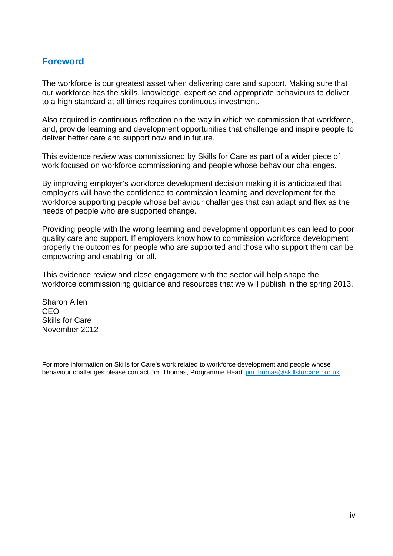#### **Foreword**

The workforce is our greatest asset when delivering care and support. Making sure that our workforce has the skills, knowledge, expertise and appropriate behaviours to deliver to a high standard at all times requires continuous investment.

Also required is continuous reflection on the way in which we commission that workforce, and, provide learning and development opportunities that challenge and inspire people to deliver better care and support now and in future.

This evidence review was commissioned by Skills for Care as part of a wider piece of work focused on workforce commissioning and people whose behaviour challenges.

By improving employer's workforce development decision making it is anticipated that employers will have the confidence to commission learning and development for the workforce supporting people whose behaviour challenges that can adapt and flex as the needs of people who are supported change.

Providing people with the wrong learning and development opportunities can lead to poor quality care and support. If employers know how to commission workforce development properly the outcomes for people who are supported and those who support them can be empowering and enabling for all.

This evidence review and close engagement with the sector will help shape the workforce commissioning guidance and resources that we will publish in the spring 2013.

Sharon Allen CEO Skills for Care November 2012

For more information on Skills for Care's work related to workforce development and people whose behaviour challenges please contact Jim Thomas, Programme Head. jim.thomas@skillsforcare.org.uk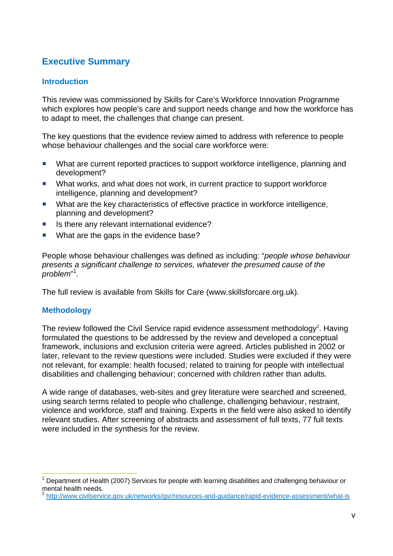## **Executive Summary**

#### **Introduction**

This review was commissioned by Skills for Care's Workforce Innovation Programme which explores how people's care and support needs change and how the workforce has to adapt to meet, the challenges that change can present.

The key questions that the evidence review aimed to address with reference to people whose behaviour challenges and the social care workforce were:

- What are current reported practices to support workforce intelligence, planning and development?
- What works, and what does not work, in current practice to support workforce intelligence, planning and development?
- What are the key characteristics of effective practice in workforce intelligence, planning and development?
- Is there any relevant international evidence?
- What are the gaps in the evidence base?

People whose behaviour challenges was defined as including: "*people whose behaviour presents a significant challenge to services, whatever the presumed cause of the*  .<br>problem"<sup>1</sup>.

The full review is available from Skills for Care (www.skillsforcare.org.uk).

#### **Methodology**

 $\overline{a}$ 

The review followed the Civil Service rapid evidence assessment methodology<sup>2</sup>. Having formulated the questions to be addressed by the review and developed a conceptual framework, inclusions and exclusion criteria were agreed. Articles published in 2002 or later, relevant to the review questions were included. Studies were excluded if they were not relevant, for example: health focused; related to training for people with intellectual disabilities and challenging behaviour; concerned with children rather than adults.

A wide range of databases, web-sites and grey literature were searched and screened, using search terms related to people who challenge, challenging behaviour, restraint, violence and workforce, staff and training. Experts in the field were also asked to identify relevant studies. After screening of abstracts and assessment of full texts, 77 full texts were included in the synthesis for the review.

<sup>1</sup> Department of Health (2007) Services for people with learning disabilities and challenging behaviour or mental health needs.

<sup>2</sup> http://www.civilservice.gov.uk/networks/gsr/resources-and-guidance/rapid-evidence-assessment/what-is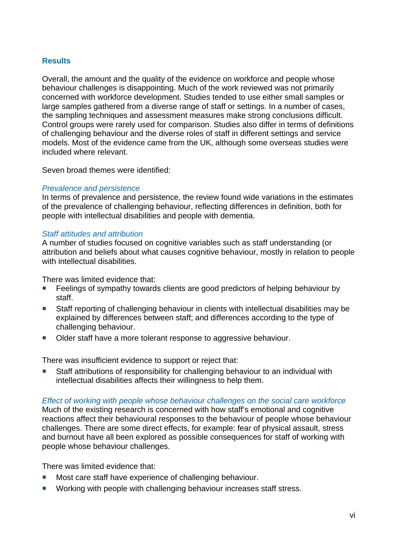#### **Results**

Overall, the amount and the quality of the evidence on workforce and people whose behaviour challenges is disappointing. Much of the work reviewed was not primarily concerned with workforce development. Studies tended to use either small samples or large samples gathered from a diverse range of staff or settings. In a number of cases, the sampling techniques and assessment measures make strong conclusions difficult. Control groups were rarely used for comparison. Studies also differ in terms of definitions of challenging behaviour and the diverse roles of staff in different settings and service models. Most of the evidence came from the UK, although some overseas studies were included where relevant.

Seven broad themes were identified:

#### *Prevalence and persistence*

In terms of prevalence and persistence, the review found wide variations in the estimates of the prevalence of challenging behaviour, reflecting differences in definition, both for people with intellectual disabilities and people with dementia.

#### *Staff attitudes and attribution*

A number of studies focused on cognitive variables such as staff understanding (or attribution and beliefs about what causes cognitive behaviour, mostly in relation to people with intellectual disabilities.

There was limited evidence that:

- Feelings of sympathy towards clients are good predictors of helping behaviour by staff.
- Staff reporting of challenging behaviour in clients with intellectual disabilities may be explained by differences between staff; and differences according to the type of challenging behaviour.
- Older staff have a more tolerant response to aggressive behaviour.

There was insufficient evidence to support or reject that:

■ Staff attributions of responsibility for challenging behaviour to an individual with intellectual disabilities affects their willingness to help them.

#### *Effect of working with people whose behaviour challenges on the social care workforce*

Much of the existing research is concerned with how staff's emotional and cognitive reactions affect their behavioural responses to the behaviour of people whose behaviour challenges. There are some direct effects, for example: fear of physical assault, stress and burnout have all been explored as possible consequences for staff of working with people whose behaviour challenges.

There was limited evidence that:

- Most care staff have experience of challenging behaviour.
- Working with people with challenging behaviour increases staff stress.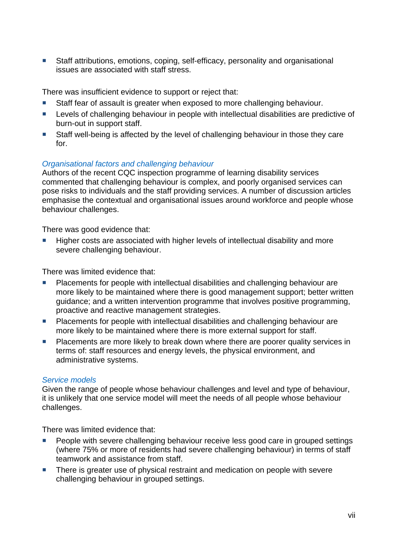■ Staff attributions, emotions, coping, self-efficacy, personality and organisational issues are associated with staff stress.

There was insufficient evidence to support or reject that:

- Staff fear of assault is greater when exposed to more challenging behaviour.
- **Levels of challenging behaviour in people with intellectual disabilities are predictive of** burn-out in support staff.
- Staff well-being is affected by the level of challenging behaviour in those they care for.

#### *Organisational factors and challenging behaviour*

Authors of the recent CQC inspection programme of learning disability services commented that challenging behaviour is complex, and poorly organised services can pose risks to individuals and the staff providing services. A number of discussion articles emphasise the contextual and organisational issues around workforce and people whose behaviour challenges.

There was good evidence that:

 Higher costs are associated with higher levels of intellectual disability and more severe challenging behaviour.

There was limited evidence that:

- Placements for people with intellectual disabilities and challenging behaviour are more likely to be maintained where there is good management support; better written guidance; and a written intervention programme that involves positive programming, proactive and reactive management strategies.
- **Placements for people with intellectual disabilities and challenging behaviour are** more likely to be maintained where there is more external support for staff.
- **Placements are more likely to break down where there are poorer quality services in** terms of: staff resources and energy levels, the physical environment, and administrative systems.

#### *Service models*

Given the range of people whose behaviour challenges and level and type of behaviour, it is unlikely that one service model will meet the needs of all people whose behaviour challenges.

There was limited evidence that:

- **People with severe challenging behaviour receive less good care in grouped settings** (where 75% or more of residents had severe challenging behaviour) in terms of staff teamwork and assistance from staff.
- There is greater use of physical restraint and medication on people with severe challenging behaviour in grouped settings.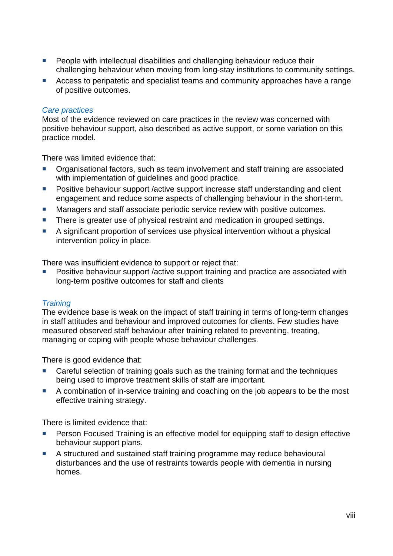- **People with intellectual disabilities and challenging behaviour reduce their** challenging behaviour when moving from long-stay institutions to community settings.
- Access to peripatetic and specialist teams and community approaches have a range of positive outcomes.

#### *Care practices*

Most of the evidence reviewed on care practices in the review was concerned with positive behaviour support, also described as active support, or some variation on this practice model.

There was limited evidence that:

- Organisational factors, such as team involvement and staff training are associated with implementation of guidelines and good practice.
- **Positive behaviour support /active support increase staff understanding and client** engagement and reduce some aspects of challenging behaviour in the short-term.
- Managers and staff associate periodic service review with positive outcomes.
- There is greater use of physical restraint and medication in grouped settings.
- A significant proportion of services use physical intervention without a physical intervention policy in place.

There was insufficient evidence to support or reject that:

 Positive behaviour support /active support training and practice are associated with long-term positive outcomes for staff and clients

#### *Training*

The evidence base is weak on the impact of staff training in terms of long-term changes in staff attitudes and behaviour and improved outcomes for clients. Few studies have measured observed staff behaviour after training related to preventing, treating, managing or coping with people whose behaviour challenges.

There is good evidence that:

- Careful selection of training goals such as the training format and the techniques being used to improve treatment skills of staff are important.
- A combination of in-service training and coaching on the job appears to be the most effective training strategy.

There is limited evidence that:

- Person Focused Training is an effective model for equipping staff to design effective behaviour support plans.
- A structured and sustained staff training programme may reduce behavioural disturbances and the use of restraints towards people with dementia in nursing homes.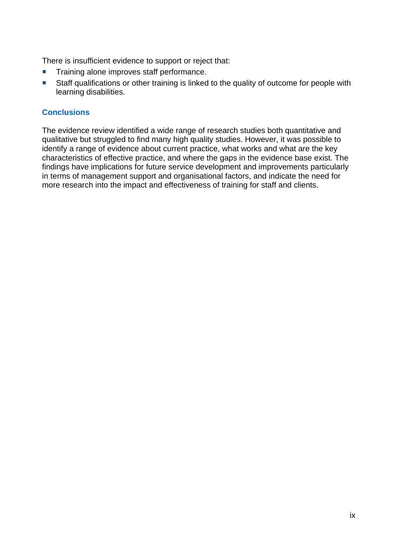There is insufficient evidence to support or reject that:

- **Training alone improves staff performance.**
- **Staff qualifications or other training is linked to the quality of outcome for people with** learning disabilities.

#### **Conclusions**

The evidence review identified a wide range of research studies both quantitative and qualitative but struggled to find many high quality studies. However, it was possible to identify a range of evidence about current practice, what works and what are the key characteristics of effective practice, and where the gaps in the evidence base exist. The findings have implications for future service development and improvements particularly in terms of management support and organisational factors, and indicate the need for more research into the impact and effectiveness of training for staff and clients.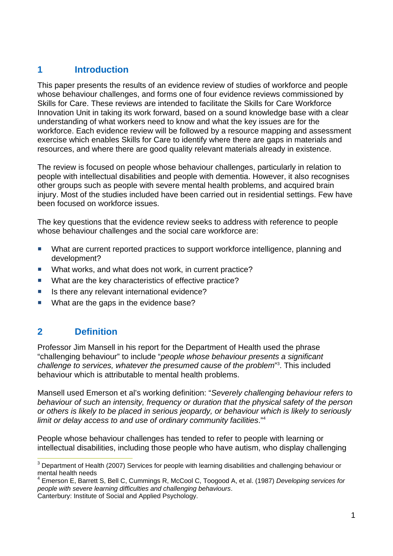## **1 Introduction**

This paper presents the results of an evidence review of studies of workforce and people whose behaviour challenges, and forms one of four evidence reviews commissioned by Skills for Care. These reviews are intended to facilitate the Skills for Care Workforce Innovation Unit in taking its work forward, based on a sound knowledge base with a clear understanding of what workers need to know and what the key issues are for the workforce. Each evidence review will be followed by a resource mapping and assessment exercise which enables Skills for Care to identify where there are gaps in materials and resources, and where there are good quality relevant materials already in existence.

The review is focused on people whose behaviour challenges, particularly in relation to people with intellectual disabilities and people with dementia. However, it also recognises other groups such as people with severe mental health problems, and acquired brain injury. Most of the studies included have been carried out in residential settings. Few have been focused on workforce issues.

The key questions that the evidence review seeks to address with reference to people whose behaviour challenges and the social care workforce are:

- What are current reported practices to support workforce intelligence, planning and development?
- What works, and what does not work, in current practice?
- What are the key characteristics of effective practice?
- Is there any relevant international evidence?
- What are the gaps in the evidence base?

## **2 Definition**

 $\overline{a}$ 

Professor Jim Mansell in his report for the Department of Health used the phrase "challenging behaviour" to include "*people whose behaviour presents a significant*  challenge to services, whatever the presumed cause of the problem<sup>"3</sup>. This included behaviour which is attributable to mental health problems.

Mansell used Emerson et al's working definition: "*Severely challenging behaviour refers to behaviour of such an intensity, frequency or duration that the physical safety of the person or others is likely to be placed in serious jeopardy, or behaviour which is likely to seriously limit or delay access to and use of ordinary community facilities*."4

People whose behaviour challenges has tended to refer to people with learning or intellectual disabilities, including those people who have autism, who display challenging

 $3$  Department of Health (2007) Services for people with learning disabilities and challenging behaviour or mental health needs

<sup>4</sup> Emerson E, Barrett S, Bell C, Cummings R, McCool C, Toogood A, et al. (1987) *Developing services for people with severe learning difficulties and challenging behaviours*. Canterbury: Institute of Social and Applied Psychology.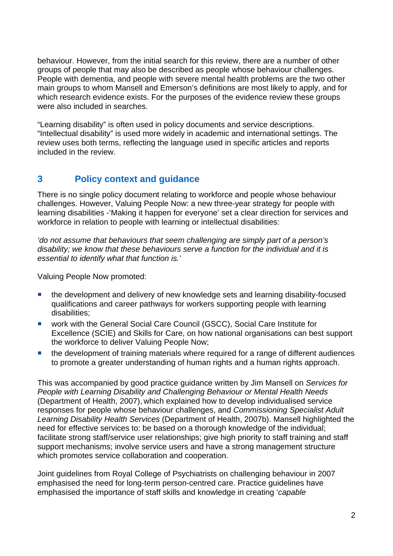behaviour. However, from the initial search for this review, there are a number of other groups of people that may also be described as people whose behaviour challenges. People with dementia, and people with severe mental health problems are the two other main groups to whom Mansell and Emerson's definitions are most likely to apply, and for which research evidence exists. For the purposes of the evidence review these groups were also included in searches.

"Learning disability" is often used in policy documents and service descriptions. "Intellectual disability" is used more widely in academic and international settings. The review uses both terms, reflecting the language used in specific articles and reports included in the review.

## **3 Policy context and guidance**

There is no single policy document relating to workforce and people whose behaviour challenges. However, Valuing People Now: a new three-year strategy for people with learning disabilities -'Making it happen for everyone' set a clear direction for services and workforce in relation to people with learning or intellectual disabilities:

*'do not assume that behaviours that seem challenging are simply part of a person's disability; we know that these behaviours serve a function for the individual and it is essential to identify what that function is.'* 

Valuing People Now promoted:

- the development and delivery of new knowledge sets and learning disability-focused qualifications and career pathways for workers supporting people with learning disabilities;
- work with the General Social Care Council (GSCC), Social Care Institute for Excellence (SCIE) and Skills for Care, on how national organisations can best support the workforce to deliver Valuing People Now;
- **the development of training materials where required for a range of different audiences** to promote a greater understanding of human rights and a human rights approach.

This was accompanied by good practice guidance written by Jim Mansell on *Services for People with Learning Disability and Challenging Behaviour or Mental Health Needs*  (Department of Health, 2007), which explained how to develop individualised service responses for people whose behaviour challenges, and *Commissioning Specialist Adult Learning Disability Health Services* (Department of Health, 2007b). Mansell highlighted the need for effective services to: be based on a thorough knowledge of the individual; facilitate strong staff/service user relationships; give high priority to staff training and staff support mechanisms; involve service users and have a strong management structure which promotes service collaboration and cooperation.

Joint guidelines from Royal College of Psychiatrists on challenging behaviour in 2007 emphasised the need for long-term person-centred care. Practice guidelines have emphasised the importance of staff skills and knowledge in creating '*capable*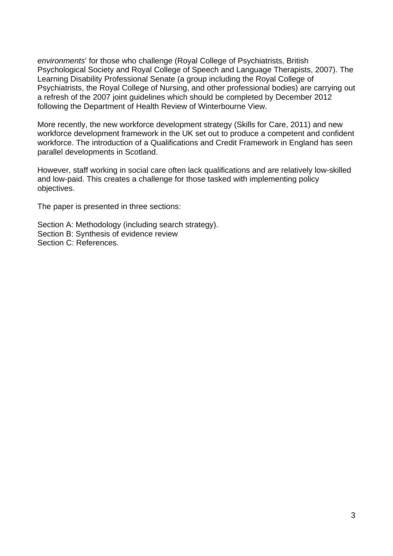*environments*' for those who challenge (Royal College of Psychiatrists, British Psychological Society and Royal College of Speech and Language Therapists, 2007). The Learning Disability Professional Senate (a group including the Royal College of Psychiatrists, the Royal College of Nursing, and other professional bodies) are carrying out a refresh of the 2007 joint guidelines which should be completed by December 2012 following the Department of Health Review of Winterbourne View.

More recently, the new workforce development strategy (Skills for Care, 2011) and new workforce development framework in the UK set out to produce a competent and confident workforce. The introduction of a Qualifications and Credit Framework in England has seen parallel developments in Scotland.

However, staff working in social care often lack qualifications and are relatively low-skilled and low-paid. This creates a challenge for those tasked with implementing policy objectives.

The paper is presented in three sections:

Section A: Methodology (including search strategy). Section B: Synthesis of evidence review Section C: References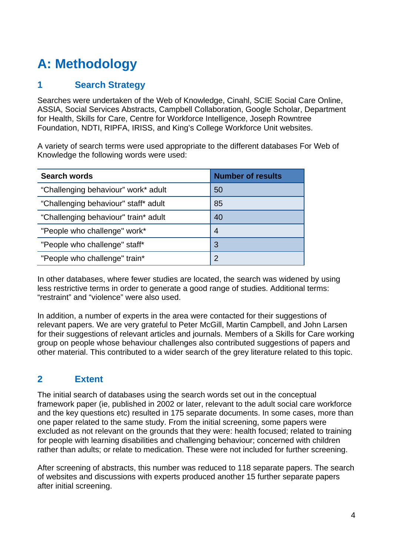## **A: Methodology**

## **1 Search Strategy**

Searches were undertaken of the Web of Knowledge, Cinahl, SCIE Social Care Online, ASSIA, Social Services Abstracts, Campbell Collaboration, Google Scholar, Department for Health, Skills for Care, Centre for Workforce Intelligence, Joseph Rowntree Foundation, NDTI, RIPFA, IRISS, and King's College Workforce Unit websites.

A variety of search terms were used appropriate to the different databases For Web of Knowledge the following words were used:

| <b>Search words</b>                  | <b>Number of results</b> |
|--------------------------------------|--------------------------|
| "Challenging behaviour" work* adult  | 50                       |
| "Challenging behaviour" staff* adult | 85                       |
| "Challenging behaviour" train* adult | 40                       |
| "People who challenge" work*         | 4                        |
| "People who challenge" staff*        | 3                        |
| "People who challenge" train*        | 2                        |

In other databases, where fewer studies are located, the search was widened by using less restrictive terms in order to generate a good range of studies. Additional terms: "restraint" and "violence" were also used.

In addition, a number of experts in the area were contacted for their suggestions of relevant papers. We are very grateful to Peter McGill, Martin Campbell, and John Larsen for their suggestions of relevant articles and journals. Members of a Skills for Care working group on people whose behaviour challenges also contributed suggestions of papers and other material. This contributed to a wider search of the grey literature related to this topic.

## **2 Extent**

The initial search of databases using the search words set out in the conceptual framework paper (ie, published in 2002 or later, relevant to the adult social care workforce and the key questions etc) resulted in 175 separate documents. In some cases, more than one paper related to the same study. From the initial screening, some papers were excluded as not relevant on the grounds that they were: health focused; related to training for people with learning disabilities and challenging behaviour; concerned with children rather than adults; or relate to medication. These were not included for further screening.

After screening of abstracts, this number was reduced to 118 separate papers. The search of websites and discussions with experts produced another 15 further separate papers after initial screening.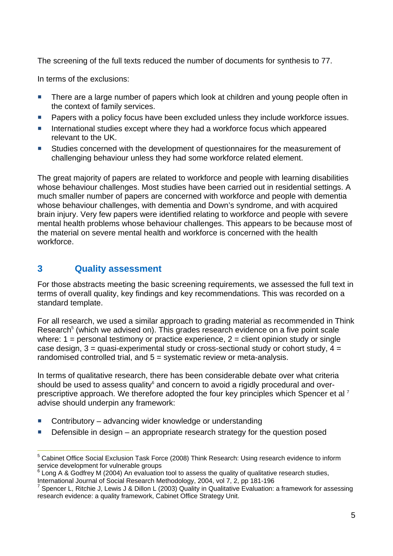The screening of the full texts reduced the number of documents for synthesis to 77.

In terms of the exclusions:

- There are a large number of papers which look at children and young people often in the context of family services.
- **Papers with a policy focus have been excluded unless they include workforce issues.**
- International studies except where they had a workforce focus which appeared relevant to the UK.
- Studies concerned with the development of questionnaires for the measurement of challenging behaviour unless they had some workforce related element.

The great majority of papers are related to workforce and people with learning disabilities whose behaviour challenges. Most studies have been carried out in residential settings. A much smaller number of papers are concerned with workforce and people with dementia whose behaviour challenges, with dementia and Down's syndrome, and with acquired brain injury. Very few papers were identified relating to workforce and people with severe mental health problems whose behaviour challenges. This appears to be because most of the material on severe mental health and workforce is concerned with the health workforce.

## **3 Quality assessment**

For those abstracts meeting the basic screening requirements, we assessed the full text in terms of overall quality, key findings and key recommendations. This was recorded on a standard template.

For all research, we used a similar approach to grading material as recommended in Think Research<sup>5</sup> (which we advised on). This grades research evidence on a five point scale where:  $1 =$  personal testimony or practice experience,  $2 =$  client opinion study or single case design,  $3 =$  quasi-experimental study or cross-sectional study or cohort study,  $4 =$ randomised controlled trial, and 5 = systematic review or meta-analysis.

In terms of qualitative research, there has been considerable debate over what criteria should be used to assess quality $^6$  and concern to avoid a rigidly procedural and overprescriptive approach. We therefore adopted the four key principles which Spencer et al <sup>7</sup> advise should underpin any framework:

- Contributory advancing wider knowledge or understanding
- $\blacksquare$  Defensible in design an appropriate research strategy for the question posed

 5 Cabinet Office Social Exclusion Task Force (2008) Think Research: Using research evidence to inform service development for vulnerable groups

<sup>&</sup>lt;sup>6</sup> Long A & Godfrey M (2004) An evaluation tool to assess the quality of qualitative research studies, International Journal of Social Research Methodology, 2004, vol 7, 2, pp 181-196

Spencer L, Ritchie J, Lewis J & Dillon L (2003) Quality in Qualitative Evaluation: a framework for assessing research evidence: a quality framework, Cabinet Office Strategy Unit.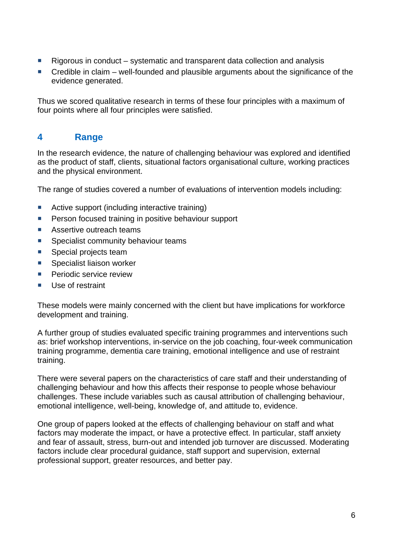- Rigorous in conduct systematic and transparent data collection and analysis
- $\blacksquare$  Credible in claim well-founded and plausible arguments about the significance of the evidence generated.

Thus we scored qualitative research in terms of these four principles with a maximum of four points where all four principles were satisfied.

## **4 Range**

In the research evidence, the nature of challenging behaviour was explored and identified as the product of staff, clients, situational factors organisational culture, working practices and the physical environment.

The range of studies covered a number of evaluations of intervention models including:

- Active support (including interactive training)
- **Person focused training in positive behaviour support**
- Assertive outreach teams
- **Specialist community behaviour teams**
- **Special projects team**
- Specialist liaison worker
- **Periodic service review**
- **Use of restraint**

These models were mainly concerned with the client but have implications for workforce development and training.

A further group of studies evaluated specific training programmes and interventions such as: brief workshop interventions, in-service on the job coaching, four-week communication training programme, dementia care training, emotional intelligence and use of restraint training.

There were several papers on the characteristics of care staff and their understanding of challenging behaviour and how this affects their response to people whose behaviour challenges. These include variables such as causal attribution of challenging behaviour, emotional intelligence, well-being, knowledge of, and attitude to, evidence.

One group of papers looked at the effects of challenging behaviour on staff and what factors may moderate the impact, or have a protective effect. In particular, staff anxiety and fear of assault, stress, burn-out and intended job turnover are discussed. Moderating factors include clear procedural guidance, staff support and supervision, external professional support, greater resources, and better pay.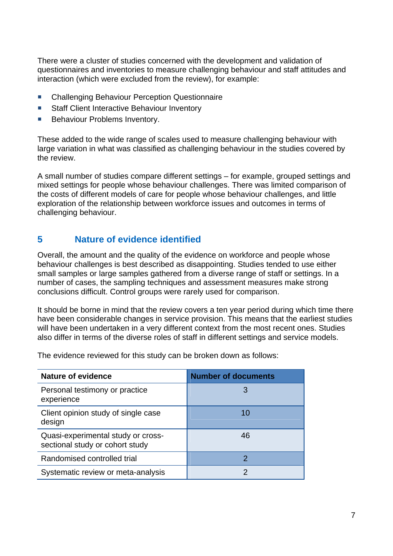There were a cluster of studies concerned with the development and validation of questionnaires and inventories to measure challenging behaviour and staff attitudes and interaction (which were excluded from the review), for example:

- **E** Challenging Behaviour Perception Questionnaire
- Staff Client Interactive Behaviour Inventory
- **Behaviour Problems Inventory.**

These added to the wide range of scales used to measure challenging behaviour with large variation in what was classified as challenging behaviour in the studies covered by the review.

A small number of studies compare different settings – for example, grouped settings and mixed settings for people whose behaviour challenges. There was limited comparison of the costs of different models of care for people whose behaviour challenges, and little exploration of the relationship between workforce issues and outcomes in terms of challenging behaviour.

## **5 Nature of evidence identified**

Overall, the amount and the quality of the evidence on workforce and people whose behaviour challenges is best described as disappointing. Studies tended to use either small samples or large samples gathered from a diverse range of staff or settings. In a number of cases, the sampling techniques and assessment measures make strong conclusions difficult. Control groups were rarely used for comparison.

It should be borne in mind that the review covers a ten year period during which time there have been considerable changes in service provision. This means that the earliest studies will have been undertaken in a very different context from the most recent ones. Studies also differ in terms of the diverse roles of staff in different settings and service models.

The evidence reviewed for this study can be broken down as follows:

| <b>Nature of evidence</b>                                             | <b>Number of documents</b> |
|-----------------------------------------------------------------------|----------------------------|
| Personal testimony or practice<br>experience                          |                            |
| Client opinion study of single case<br>design                         | 10                         |
| Quasi-experimental study or cross-<br>sectional study or cohort study | 46                         |
| Randomised controlled trial                                           | 2                          |
| Systematic review or meta-analysis                                    |                            |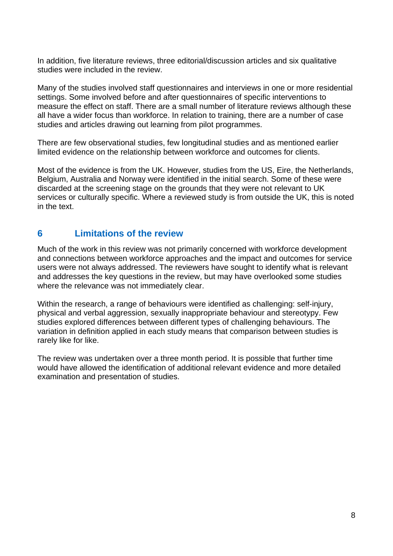In addition, five literature reviews, three editorial/discussion articles and six qualitative studies were included in the review.

Many of the studies involved staff questionnaires and interviews in one or more residential settings. Some involved before and after questionnaires of specific interventions to measure the effect on staff. There are a small number of literature reviews although these all have a wider focus than workforce. In relation to training, there are a number of case studies and articles drawing out learning from pilot programmes.

There are few observational studies, few longitudinal studies and as mentioned earlier limited evidence on the relationship between workforce and outcomes for clients.

Most of the evidence is from the UK. However, studies from the US, Eire, the Netherlands, Belgium, Australia and Norway were identified in the initial search. Some of these were discarded at the screening stage on the grounds that they were not relevant to UK services or culturally specific. Where a reviewed study is from outside the UK, this is noted in the text.

## **6 Limitations of the review**

Much of the work in this review was not primarily concerned with workforce development and connections between workforce approaches and the impact and outcomes for service users were not always addressed. The reviewers have sought to identify what is relevant and addresses the key questions in the review, but may have overlooked some studies where the relevance was not immediately clear.

Within the research, a range of behaviours were identified as challenging: self-injury, physical and verbal aggression, sexually inappropriate behaviour and stereotypy. Few studies explored differences between different types of challenging behaviours. The variation in definition applied in each study means that comparison between studies is rarely like for like.

The review was undertaken over a three month period. It is possible that further time would have allowed the identification of additional relevant evidence and more detailed examination and presentation of studies.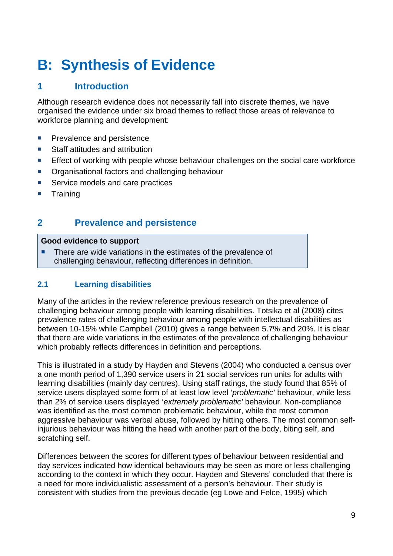# **B: Synthesis of Evidence**

## **1 Introduction**

Although research evidence does not necessarily fall into discrete themes, we have organised the evidence under six broad themes to reflect those areas of relevance to workforce planning and development:

- **Prevalence and persistence**
- Staff attitudes and attribution
- **Effect of working with people whose behaviour challenges on the social care workforce**
- Organisational factors and challenging behaviour
- Service models and care practices
- **Training**

## **2 Prevalence and persistence**

#### **Good evidence to support**

 There are wide variations in the estimates of the prevalence of challenging behaviour, reflecting differences in definition.

#### **2.1 Learning disabilities**

Many of the articles in the review reference previous research on the prevalence of challenging behaviour among people with learning disabilities. Totsika et al (2008) cites prevalence rates of challenging behaviour among people with intellectual disabilities as between 10-15% while Campbell (2010) gives a range between 5.7% and 20%. It is clear that there are wide variations in the estimates of the prevalence of challenging behaviour which probably reflects differences in definition and perceptions.

This is illustrated in a study by Hayden and Stevens (2004) who conducted a census over a one month period of 1,390 service users in 21 social services run units for adults with learning disabilities (mainly day centres). Using staff ratings, the study found that 85% of service users displayed some form of at least low level '*problematic'* behaviour, while less than 2% of service users displayed '*extremely problematic'* behaviour. Non-compliance was identified as the most common problematic behaviour, while the most common aggressive behaviour was verbal abuse, followed by hitting others. The most common selfinjurious behaviour was hitting the head with another part of the body, biting self, and scratching self.

Differences between the scores for different types of behaviour between residential and day services indicated how identical behaviours may be seen as more or less challenging according to the context in which they occur. Hayden and Stevens' concluded that there is a need for more individualistic assessment of a person's behaviour. Their study is consistent with studies from the previous decade (eg Lowe and Felce, 1995) which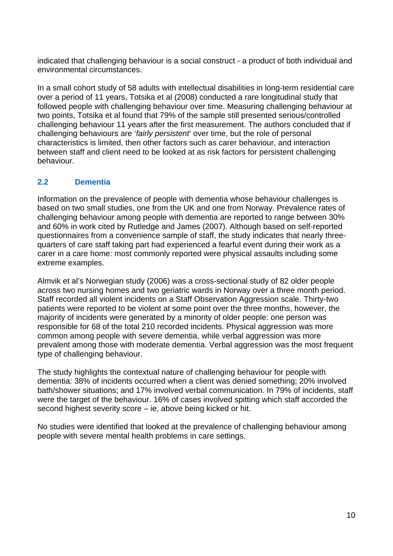indicated that challenging behaviour is a social construct - a product of both individual and environmental circumstances.

In a small cohort study of 58 adults with intellectual disabilities in long-term residential care over a period of 11 years, Totsika et al (2008) conducted a rare longitudinal study that followed people with challenging behaviour over time. Measuring challenging behaviour at two points, Totsika et al found that 79% of the sample still presented serious/controlled challenging behaviour 11 years after the first measurement. The authors concluded that if challenging behaviours are '*fairly persistent*' over time, but the role of personal characteristics is limited, then other factors such as carer behaviour, and interaction between staff and client need to be looked at as risk factors for persistent challenging behaviour.

#### **2.2 Dementia**

Information on the prevalence of people with dementia whose behaviour challenges is based on two small studies, one from the UK and one from Norway. Prevalence rates of challenging behaviour among people with dementia are reported to range between 30% and 60% in work cited by Rutledge and James (2007). Although based on self-reported questionnaires from a convenience sample of staff, the study indicates that nearly threequarters of care staff taking part had experienced a fearful event during their work as a carer in a care home: most commonly reported were physical assaults including some extreme examples.

Almvik et al's Norwegian study (2006) was a cross-sectional study of 82 older people across two nursing homes and two geriatric wards in Norway over a three month period. Staff recorded all violent incidents on a Staff Observation Aggression scale. Thirty-two patients were reported to be violent at some point over the three months, however, the majority of incidents were generated by a minority of older people: one person was responsible for 68 of the total 210 recorded incidents. Physical aggression was more common among people with severe dementia, while verbal aggression was more prevalent among those with moderate dementia. Verbal aggression was the most frequent type of challenging behaviour.

The study highlights the contextual nature of challenging behaviour for people with dementia: 38% of incidents occurred when a client was denied something; 20% involved bath/shower situations; and 17% involved verbal communication. In 79% of incidents, staff were the target of the behaviour. 16% of cases involved spitting which staff accorded the second highest severity score – ie, above being kicked or hit.

No studies were identified that looked at the prevalence of challenging behaviour among people with severe mental health problems in care settings.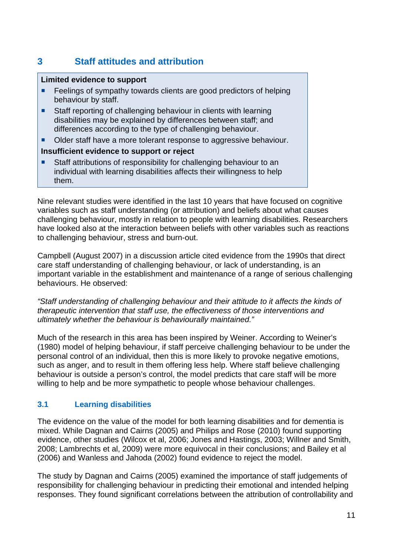## **3 Staff attitudes and attribution**

#### **Limited evidence to support**

- Feelings of sympathy towards clients are good predictors of helping behaviour by staff.
- Staff reporting of challenging behaviour in clients with learning disabilities may be explained by differences between staff; and differences according to the type of challenging behaviour.
- Older staff have a more tolerant response to aggressive behaviour.

#### **Insufficient evidence to support or reject**

 Staff attributions of responsibility for challenging behaviour to an individual with learning disabilities affects their willingness to help them.

Nine relevant studies were identified in the last 10 years that have focused on cognitive variables such as staff understanding (or attribution) and beliefs about what causes challenging behaviour, mostly in relation to people with learning disabilities. Researchers have looked also at the interaction between beliefs with other variables such as reactions to challenging behaviour, stress and burn-out.

Campbell (August 2007) in a discussion article cited evidence from the 1990s that direct care staff understanding of challenging behaviour, or lack of understanding, is an important variable in the establishment and maintenance of a range of serious challenging behaviours. He observed:

*"Staff understanding of challenging behaviour and their attitude to it affects the kinds of therapeutic intervention that staff use, the effectiveness of those interventions and ultimately whether the behaviour is behaviourally maintained."* 

Much of the research in this area has been inspired by Weiner. According to Weiner's (1980) model of helping behaviour, if staff perceive challenging behaviour to be under the personal control of an individual, then this is more likely to provoke negative emotions, such as anger, and to result in them offering less help. Where staff believe challenging behaviour is outside a person's control, the model predicts that care staff will be more willing to help and be more sympathetic to people whose behaviour challenges.

#### **3.1 Learning disabilities**

The evidence on the value of the model for both learning disabilities and for dementia is mixed. While Dagnan and Cairns (2005) and Philips and Rose (2010) found supporting evidence, other studies (Wilcox et al, 2006; Jones and Hastings, 2003; Willner and Smith, 2008; Lambrechts et al, 2009) were more equivocal in their conclusions; and Bailey et al (2006) and Wanless and Jahoda (2002) found evidence to reject the model.

The study by Dagnan and Cairns (2005) examined the importance of staff judgements of responsibility for challenging behaviour in predicting their emotional and intended helping responses. They found significant correlations between the attribution of controllability and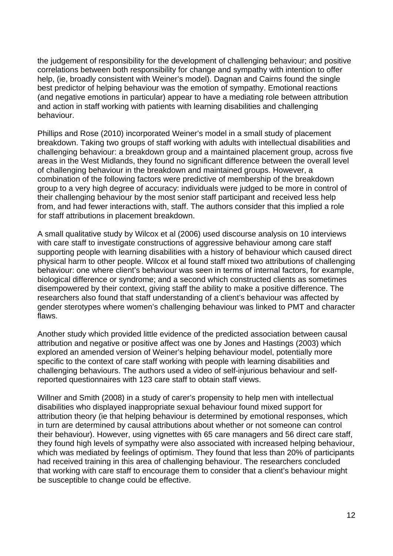the judgement of responsibility for the development of challenging behaviour; and positive correlations between both responsibility for change and sympathy with intention to offer help, (ie, broadly consistent with Weiner's model). Dagnan and Cairns found the single best predictor of helping behaviour was the emotion of sympathy. Emotional reactions (and negative emotions in particular) appear to have a mediating role between attribution and action in staff working with patients with learning disabilities and challenging behaviour.

Phillips and Rose (2010) incorporated Weiner's model in a small study of placement breakdown. Taking two groups of staff working with adults with intellectual disabilities and challenging behaviour: a breakdown group and a maintained placement group, across five areas in the West Midlands, they found no significant difference between the overall level of challenging behaviour in the breakdown and maintained groups. However, a combination of the following factors were predictive of membership of the breakdown group to a very high degree of accuracy: individuals were judged to be more in control of their challenging behaviour by the most senior staff participant and received less help from, and had fewer interactions with, staff. The authors consider that this implied a role for staff attributions in placement breakdown.

A small qualitative study by Wilcox et al (2006) used discourse analysis on 10 interviews with care staff to investigate constructions of aggressive behaviour among care staff supporting people with learning disabilities with a history of behaviour which caused direct physical harm to other people. Wilcox et al found staff mixed two attributions of challenging behaviour: one where client's behaviour was seen in terms of internal factors, for example, biological difference or syndrome; and a second which constructed clients as sometimes disempowered by their context, giving staff the ability to make a positive difference. The researchers also found that staff understanding of a client's behaviour was affected by gender sterotypes where women's challenging behaviour was linked to PMT and character flaws.

Another study which provided little evidence of the predicted association between causal attribution and negative or positive affect was one by Jones and Hastings (2003) which explored an amended version of Weiner's helping behaviour model, potentially more specific to the context of care staff working with people with learning disabilities and challenging behaviours. The authors used a video of self-injurious behaviour and selfreported questionnaires with 123 care staff to obtain staff views.

Willner and Smith (2008) in a study of carer's propensity to help men with intellectual disabilities who displayed inappropriate sexual behaviour found mixed support for attribution theory (ie that helping behaviour is determined by emotional responses, which in turn are determined by causal attributions about whether or not someone can control their behaviour). However, using vignettes with 65 care managers and 56 direct care staff, they found high levels of sympathy were also associated with increased helping behaviour, which was mediated by feelings of optimism. They found that less than 20% of participants had received training in this area of challenging behaviour. The researchers concluded that working with care staff to encourage them to consider that a client's behaviour might be susceptible to change could be effective.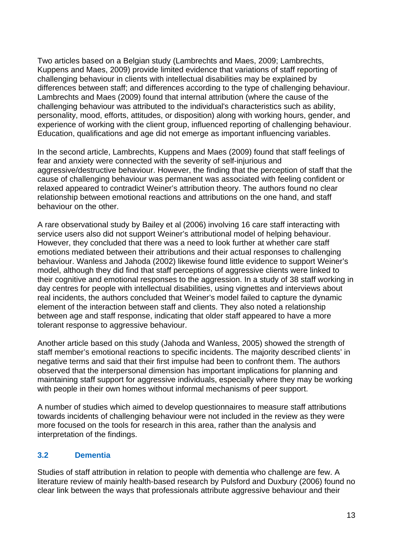Two articles based on a Belgian study (Lambrechts and Maes, 2009; Lambrechts, Kuppens and Maes, 2009) provide limited evidence that variations of staff reporting of challenging behaviour in clients with intellectual disabilities may be explained by differences between staff; and differences according to the type of challenging behaviour. Lambrechts and Maes (2009) found that internal attribution (where the cause of the challenging behaviour was attributed to the individual's characteristics such as ability, personality, mood, efforts, attitudes, or disposition) along with working hours, gender, and experience of working with the client group, influenced reporting of challenging behaviour. Education, qualifications and age did not emerge as important influencing variables.

In the second article, Lambrechts, Kuppens and Maes (2009) found that staff feelings of fear and anxiety were connected with the severity of self-injurious and aggressive/destructive behaviour. However, the finding that the perception of staff that the cause of challenging behaviour was permanent was associated with feeling confident or relaxed appeared to contradict Weiner's attribution theory. The authors found no clear relationship between emotional reactions and attributions on the one hand, and staff behaviour on the other.

A rare observational study by Bailey et al (2006) involving 16 care staff interacting with service users also did not support Weiner's attributional model of helping behaviour. However, they concluded that there was a need to look further at whether care staff emotions mediated between their attributions and their actual responses to challenging behaviour. Wanless and Jahoda (2002) likewise found little evidence to support Weiner's model, although they did find that staff perceptions of aggressive clients were linked to their cognitive and emotional responses to the aggression. In a study of 38 staff working in day centres for people with intellectual disabilities, using vignettes and interviews about real incidents, the authors concluded that Weiner's model failed to capture the dynamic element of the interaction between staff and clients. They also noted a relationship between age and staff response, indicating that older staff appeared to have a more tolerant response to aggressive behaviour.

Another article based on this study (Jahoda and Wanless, 2005) showed the strength of staff member's emotional reactions to specific incidents. The majority described clients' in negative terms and said that their first impulse had been to confront them. The authors observed that the interpersonal dimension has important implications for planning and maintaining staff support for aggressive individuals, especially where they may be working with people in their own homes without informal mechanisms of peer support.

A number of studies which aimed to develop questionnaires to measure staff attributions towards incidents of challenging behaviour were not included in the review as they were more focused on the tools for research in this area, rather than the analysis and interpretation of the findings.

#### **3.2 Dementia**

Studies of staff attribution in relation to people with dementia who challenge are few. A literature review of mainly health-based research by Pulsford and Duxbury (2006) found no clear link between the ways that professionals attribute aggressive behaviour and their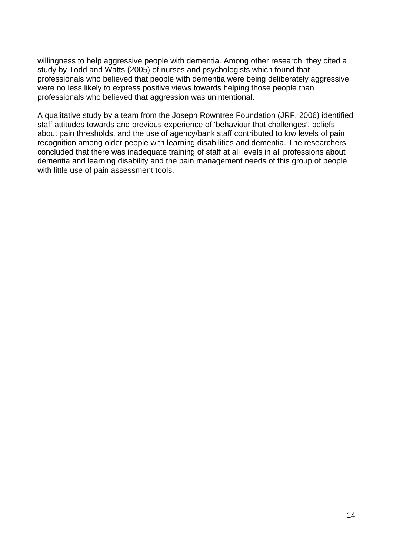willingness to help aggressive people with dementia. Among other research, they cited a study by Todd and Watts (2005) of nurses and psychologists which found that professionals who believed that people with dementia were being deliberately aggressive were no less likely to express positive views towards helping those people than professionals who believed that aggression was unintentional.

A qualitative study by a team from the Joseph Rowntree Foundation (JRF, 2006) identified staff attitudes towards and previous experience of 'behaviour that challenges', beliefs about pain thresholds, and the use of agency/bank staff contributed to low levels of pain recognition among older people with learning disabilities and dementia. The researchers concluded that there was inadequate training of staff at all levels in all professions about dementia and learning disability and the pain management needs of this group of people with little use of pain assessment tools.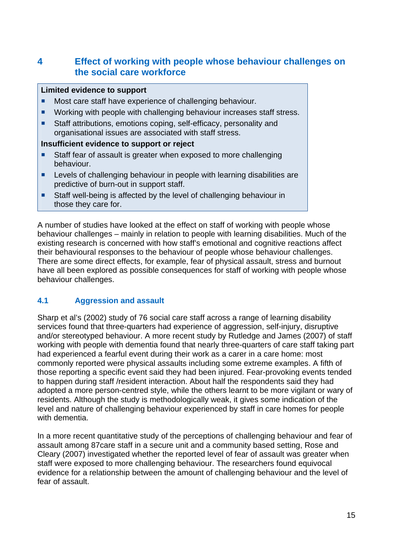## **4 Effect of working with people whose behaviour challenges on the social care workforce**

#### **Limited evidence to support**

- Most care staff have experience of challenging behaviour.
- **Working with people with challenging behaviour increases staff stress.**
- Staff attributions, emotions coping, self-efficacy, personality and organisational issues are associated with staff stress.

#### **Insufficient evidence to support or reject**

- Staff fear of assault is greater when exposed to more challenging behaviour.
- **EXECTE Levels of challenging behaviour in people with learning disabilities are** predictive of burn-out in support staff.
- Staff well-being is affected by the level of challenging behaviour in those they care for.

A number of studies have looked at the effect on staff of working with people whose behaviour challenges – mainly in relation to people with learning disabilities. Much of the existing research is concerned with how staff's emotional and cognitive reactions affect their behavioural responses to the behaviour of people whose behaviour challenges. There are some direct effects, for example, fear of physical assault, stress and burnout have all been explored as possible consequences for staff of working with people whose behaviour challenges.

#### **4.1 Aggression and assault**

Sharp et al's (2002) study of 76 social care staff across a range of learning disability services found that three-quarters had experience of aggression, self-injury, disruptive and/or stereotyped behaviour. A more recent study by Rutledge and James (2007) of staff working with people with dementia found that nearly three-quarters of care staff taking part had experienced a fearful event during their work as a carer in a care home: most commonly reported were physical assaults including some extreme examples. A fifth of those reporting a specific event said they had been injured. Fear-provoking events tended to happen during staff /resident interaction. About half the respondents said they had adopted a more person-centred style, while the others learnt to be more vigilant or wary of residents. Although the study is methodologically weak, it gives some indication of the level and nature of challenging behaviour experienced by staff in care homes for people with dementia.

In a more recent quantitative study of the perceptions of challenging behaviour and fear of assault among 87care staff in a secure unit and a community based setting, Rose and Cleary (2007) investigated whether the reported level of fear of assault was greater when staff were exposed to more challenging behaviour. The researchers found equivocal evidence for a relationship between the amount of challenging behaviour and the level of fear of assault.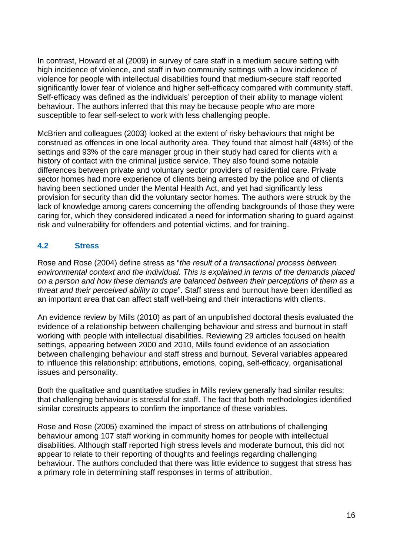In contrast, Howard et al (2009) in survey of care staff in a medium secure setting with high incidence of violence, and staff in two community settings with a low incidence of violence for people with intellectual disabilities found that medium-secure staff reported significantly lower fear of violence and higher self-efficacy compared with community staff. Self-efficacy was defined as the individuals' perception of their ability to manage violent behaviour. The authors inferred that this may be because people who are more susceptible to fear self-select to work with less challenging people.

McBrien and colleagues (2003) looked at the extent of risky behaviours that might be construed as offences in one local authority area. They found that almost half (48%) of the settings and 93% of the care manager group in their study had cared for clients with a history of contact with the criminal justice service. They also found some notable differences between private and voluntary sector providers of residential care. Private sector homes had more experience of clients being arrested by the police and of clients having been sectioned under the Mental Health Act, and yet had significantly less provision for security than did the voluntary sector homes. The authors were struck by the lack of knowledge among carers concerning the offending backgrounds of those they were caring for, which they considered indicated a need for information sharing to guard against risk and vulnerability for offenders and potential victims, and for training.

#### **4.2 Stress**

Rose and Rose (2004) define stress as "*the result of a transactional process between environmental context and the individual. This is explained in terms of the demands placed on a person and how these demands are balanced between their perceptions of them as a threat and their perceived ability to cope*". Staff stress and burnout have been identified as an important area that can affect staff well-being and their interactions with clients.

An evidence review by Mills (2010) as part of an unpublished doctoral thesis evaluated the evidence of a relationship between challenging behaviour and stress and burnout in staff working with people with intellectual disabilities. Reviewing 29 articles focused on health settings, appearing between 2000 and 2010, Mills found evidence of an association between challenging behaviour and staff stress and burnout. Several variables appeared to influence this relationship: attributions, emotions, coping, self-efficacy, organisational issues and personality.

Both the qualitative and quantitative studies in Mills review generally had similar results: that challenging behaviour is stressful for staff. The fact that both methodologies identified similar constructs appears to confirm the importance of these variables.

Rose and Rose (2005) examined the impact of stress on attributions of challenging behaviour among 107 staff working in community homes for people with intellectual disabilities. Although staff reported high stress levels and moderate burnout, this did not appear to relate to their reporting of thoughts and feelings regarding challenging behaviour. The authors concluded that there was little evidence to suggest that stress has a primary role in determining staff responses in terms of attribution.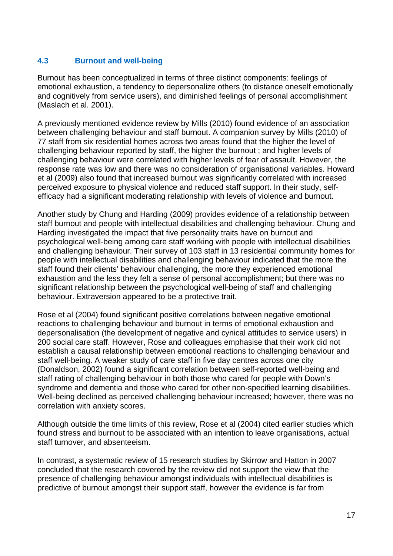#### **4.3 Burnout and well-being**

Burnout has been conceptualized in terms of three distinct components: feelings of emotional exhaustion, a tendency to depersonalize others (to distance oneself emotionally and cognitively from service users), and diminished feelings of personal accomplishment (Maslach et al. 2001).

A previously mentioned evidence review by Mills (2010) found evidence of an association between challenging behaviour and staff burnout. A companion survey by Mills (2010) of 77 staff from six residential homes across two areas found that the higher the level of challenging behaviour reported by staff, the higher the burnout ; and higher levels of challenging behaviour were correlated with higher levels of fear of assault. However, the response rate was low and there was no consideration of organisational variables. Howard et al (2009) also found that increased burnout was significantly correlated with increased perceived exposure to physical violence and reduced staff support. In their study, selfefficacy had a significant moderating relationship with levels of violence and burnout.

Another study by Chung and Harding (2009) provides evidence of a relationship between staff burnout and people with intellectual disabilities and challenging behaviour. Chung and Harding investigated the impact that five personality traits have on burnout and psychological well-being among care staff working with people with intellectual disabilities and challenging behaviour. Their survey of 103 staff in 13 residential community homes for people with intellectual disabilities and challenging behaviour indicated that the more the staff found their clients' behaviour challenging, the more they experienced emotional exhaustion and the less they felt a sense of personal accomplishment; but there was no significant relationship between the psychological well-being of staff and challenging behaviour. Extraversion appeared to be a protective trait.

Rose et al (2004) found significant positive correlations between negative emotional reactions to challenging behaviour and burnout in terms of emotional exhaustion and depersonalisation (the development of negative and cynical attitudes to service users) in 200 social care staff. However, Rose and colleagues emphasise that their work did not establish a causal relationship between emotional reactions to challenging behaviour and staff well-being. A weaker study of care staff in five day centres across one city (Donaldson, 2002) found a significant correlation between self-reported well-being and staff rating of challenging behaviour in both those who cared for people with Down's syndrome and dementia and those who cared for other non-specified learning disabilities. Well-being declined as perceived challenging behaviour increased; however, there was no correlation with anxiety scores.

Although outside the time limits of this review, Rose et al (2004) cited earlier studies which found stress and burnout to be associated with an intention to leave organisations, actual staff turnover, and absenteeism.

In contrast, a systematic review of 15 research studies by Skirrow and Hatton in 2007 concluded that the research covered by the review did not support the view that the presence of challenging behaviour amongst individuals with intellectual disabilities is predictive of burnout amongst their support staff, however the evidence is far from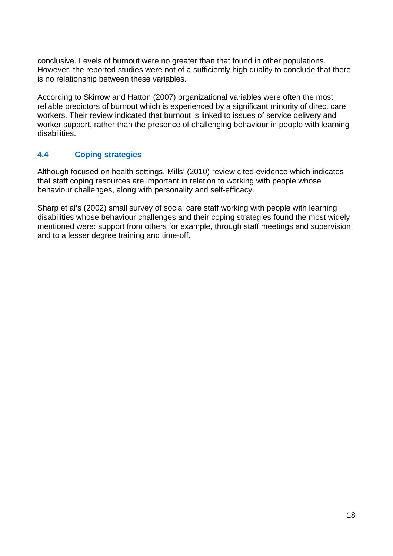conclusive. Levels of burnout were no greater than that found in other populations. However, the reported studies were not of a sufficiently high quality to conclude that there is no relationship between these variables.

According to Skirrow and Hatton (2007) organizational variables were often the most reliable predictors of burnout which is experienced by a significant minority of direct care workers. Their review indicated that burnout is linked to issues of service delivery and worker support, rather than the presence of challenging behaviour in people with learning disabilities.

#### **4.4 Coping strategies**

Although focused on health settings, Mills' (2010) review cited evidence which indicates that staff coping resources are important in relation to working with people whose behaviour challenges, along with personality and self-efficacy.

Sharp et al's (2002) small survey of social care staff working with people with learning disabilities whose behaviour challenges and their coping strategies found the most widely mentioned were: support from others for example, through staff meetings and supervision; and to a lesser degree training and time-off.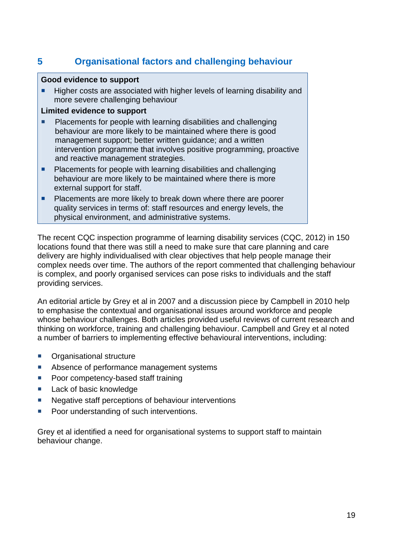## **5 Organisational factors and challenging behaviour**

#### **Good evidence to support**

 Higher costs are associated with higher levels of learning disability and more severe challenging behaviour

#### **Limited evidence to support**

- **Placements for people with learning disabilities and challenging** behaviour are more likely to be maintained where there is good management support; better written guidance; and a written intervention programme that involves positive programming, proactive and reactive management strategies.
- **Placements for people with learning disabilities and challenging** behaviour are more likely to be maintained where there is more external support for staff.
- Placements are more likely to break down where there are poorer quality services in terms of: staff resources and energy levels, the physical environment, and administrative systems.

The recent CQC inspection programme of learning disability services (CQC, 2012) in 150 locations found that there was still a need to make sure that care planning and care delivery are highly individualised with clear objectives that help people manage their complex needs over time. The authors of the report commented that challenging behaviour is complex, and poorly organised services can pose risks to individuals and the staff providing services.

An editorial article by Grey et al in 2007 and a discussion piece by Campbell in 2010 help to emphasise the contextual and organisational issues around workforce and people whose behaviour challenges. Both articles provided useful reviews of current research and thinking on workforce, training and challenging behaviour. Campbell and Grey et al noted a number of barriers to implementing effective behavioural interventions, including:

- **C**rganisational structure
- Absence of performance management systems
- **Poor competency-based staff training**
- Lack of basic knowledge
- Negative staff perceptions of behaviour interventions
- **Poor understanding of such interventions.**

Grey et al identified a need for organisational systems to support staff to maintain behaviour change.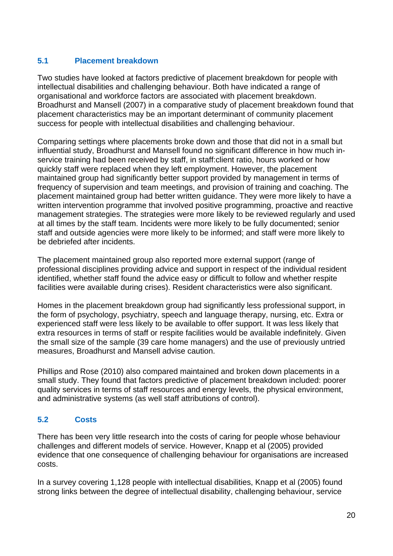#### **5.1 Placement breakdown**

Two studies have looked at factors predictive of placement breakdown for people with intellectual disabilities and challenging behaviour. Both have indicated a range of organisational and workforce factors are associated with placement breakdown. Broadhurst and Mansell (2007) in a comparative study of placement breakdown found that placement characteristics may be an important determinant of community placement success for people with intellectual disabilities and challenging behaviour.

Comparing settings where placements broke down and those that did not in a small but influential study, Broadhurst and Mansell found no significant difference in how much inservice training had been received by staff, in staff:client ratio, hours worked or how quickly staff were replaced when they left employment. However, the placement maintained group had significantly better support provided by management in terms of frequency of supervision and team meetings, and provision of training and coaching. The placement maintained group had better written guidance. They were more likely to have a written intervention programme that involved positive programming, proactive and reactive management strategies. The strategies were more likely to be reviewed regularly and used at all times by the staff team. Incidents were more likely to be fully documented; senior staff and outside agencies were more likely to be informed; and staff were more likely to be debriefed after incidents.

The placement maintained group also reported more external support (range of professional disciplines providing advice and support in respect of the individual resident identified, whether staff found the advice easy or difficult to follow and whether respite facilities were available during crises). Resident characteristics were also significant.

Homes in the placement breakdown group had significantly less professional support, in the form of psychology, psychiatry, speech and language therapy, nursing, etc. Extra or experienced staff were less likely to be available to offer support. It was less likely that extra resources in terms of staff or respite facilities would be available indefinitely. Given the small size of the sample (39 care home managers) and the use of previously untried measures, Broadhurst and Mansell advise caution.

Phillips and Rose (2010) also compared maintained and broken down placements in a small study. They found that factors predictive of placement breakdown included: poorer quality services in terms of staff resources and energy levels, the physical environment, and administrative systems (as well staff attributions of control).

#### **5.2 Costs**

There has been very little research into the costs of caring for people whose behaviour challenges and different models of service. However, Knapp et al (2005) provided evidence that one consequence of challenging behaviour for organisations are increased costs.

In a survey covering 1,128 people with intellectual disabilities, Knapp et al (2005) found strong links between the degree of intellectual disability, challenging behaviour, service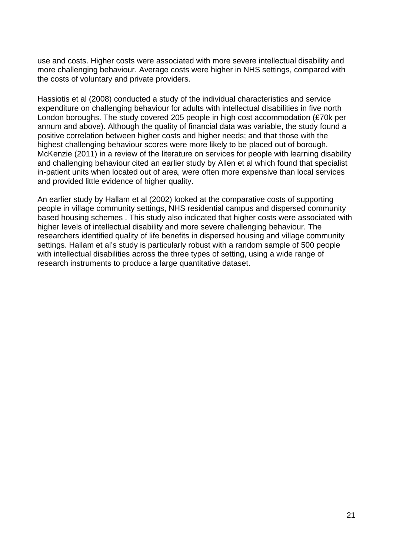use and costs. Higher costs were associated with more severe intellectual disability and more challenging behaviour. Average costs were higher in NHS settings, compared with the costs of voluntary and private providers.

Hassiotis et al (2008) conducted a study of the individual characteristics and service expenditure on challenging behaviour for adults with intellectual disabilities in five north London boroughs. The study covered 205 people in high cost accommodation (£70k per annum and above). Although the quality of financial data was variable, the study found a positive correlation between higher costs and higher needs; and that those with the highest challenging behaviour scores were more likely to be placed out of borough. McKenzie (2011) in a review of the literature on services for people with learning disability and challenging behaviour cited an earlier study by Allen et al which found that specialist in-patient units when located out of area, were often more expensive than local services and provided little evidence of higher quality.

An earlier study by Hallam et al (2002) looked at the comparative costs of supporting people in village community settings, NHS residential campus and dispersed community based housing schemes . This study also indicated that higher costs were associated with higher levels of intellectual disability and more severe challenging behaviour. The researchers identified quality of life benefits in dispersed housing and village community settings. Hallam et al's study is particularly robust with a random sample of 500 people with intellectual disabilities across the three types of setting, using a wide range of research instruments to produce a large quantitative dataset.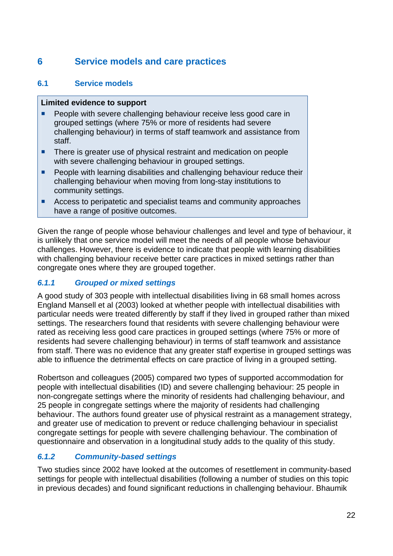## **6 Service models and care practices**

#### **6.1 Service models**

#### **Limited evidence to support**

- People with severe challenging behaviour receive less good care in grouped settings (where 75% or more of residents had severe challenging behaviour) in terms of staff teamwork and assistance from staff.
- There is greater use of physical restraint and medication on people with severe challenging behaviour in grouped settings.
- People with learning disabilities and challenging behaviour reduce their challenging behaviour when moving from long-stay institutions to community settings.
- Access to peripatetic and specialist teams and community approaches have a range of positive outcomes.

Given the range of people whose behaviour challenges and level and type of behaviour, it is unlikely that one service model will meet the needs of all people whose behaviour challenges. However, there is evidence to indicate that people with learning disabilities with challenging behaviour receive better care practices in mixed settings rather than congregate ones where they are grouped together.

#### *6.1.1 Grouped or mixed settings*

A good study of 303 people with intellectual disabilities living in 68 small homes across England Mansell et al (2003) looked at whether people with intellectual disabilities with particular needs were treated differently by staff if they lived in grouped rather than mixed settings. The researchers found that residents with severe challenging behaviour were rated as receiving less good care practices in grouped settings (where 75% or more of residents had severe challenging behaviour) in terms of staff teamwork and assistance from staff. There was no evidence that any greater staff expertise in grouped settings was able to influence the detrimental effects on care practice of living in a grouped setting.

Robertson and colleagues (2005) compared two types of supported accommodation for people with intellectual disabilities (ID) and severe challenging behaviour: 25 people in non-congregate settings where the minority of residents had challenging behaviour, and 25 people in congregate settings where the majority of residents had challenging behaviour. The authors found greater use of physical restraint as a management strategy, and greater use of medication to prevent or reduce challenging behaviour in specialist congregate settings for people with severe challenging behaviour. The combination of questionnaire and observation in a longitudinal study adds to the quality of this study.

## *6.1.2 Community-based settings*

Two studies since 2002 have looked at the outcomes of resettlement in community-based settings for people with intellectual disabilities (following a number of studies on this topic in previous decades) and found significant reductions in challenging behaviour. Bhaumik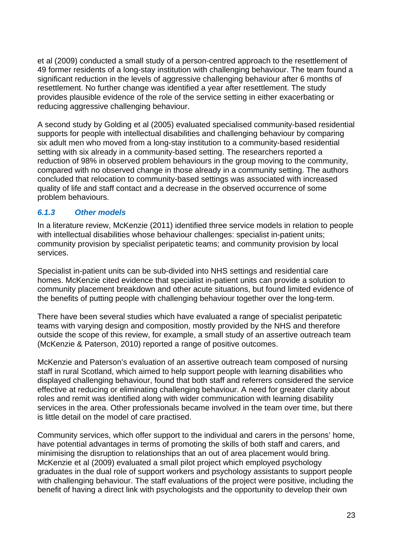et al (2009) conducted a small study of a person-centred approach to the resettlement of 49 former residents of a long-stay institution with challenging behaviour. The team found a significant reduction in the levels of aggressive challenging behaviour after 6 months of resettlement. No further change was identified a year after resettlement. The study provides plausible evidence of the role of the service setting in either exacerbating or reducing aggressive challenging behaviour.

A second study by Golding et al (2005) evaluated specialised community-based residential supports for people with intellectual disabilities and challenging behaviour by comparing six adult men who moved from a long-stay institution to a community-based residential setting with six already in a community-based setting. The researchers reported a reduction of 98% in observed problem behaviours in the group moving to the community, compared with no observed change in those already in a community setting. The authors concluded that relocation to community-based settings was associated with increased quality of life and staff contact and a decrease in the observed occurrence of some problem behaviours.

#### *6.1.3 Other models*

In a literature review, McKenzie (2011) identified three service models in relation to people with intellectual disabilities whose behaviour challenges: specialist in-patient units; community provision by specialist peripatetic teams; and community provision by local services.

Specialist in-patient units can be sub-divided into NHS settings and residential care homes. McKenzie cited evidence that specialist in-patient units can provide a solution to community placement breakdown and other acute situations, but found limited evidence of the benefits of putting people with challenging behaviour together over the long-term.

There have been several studies which have evaluated a range of specialist peripatetic teams with varying design and composition, mostly provided by the NHS and therefore outside the scope of this review, for example, a small study of an assertive outreach team (McKenzie & Paterson, 2010) reported a range of positive outcomes.

McKenzie and Paterson's evaluation of an assertive outreach team composed of nursing staff in rural Scotland, which aimed to help support people with learning disabilities who displayed challenging behaviour, found that both staff and referrers considered the service effective at reducing or eliminating challenging behaviour. A need for greater clarity about roles and remit was identified along with wider communication with learning disability services in the area. Other professionals became involved in the team over time, but there is little detail on the model of care practised.

Community services, which offer support to the individual and carers in the persons' home, have potential advantages in terms of promoting the skills of both staff and carers, and minimising the disruption to relationships that an out of area placement would bring. McKenzie et al (2009) evaluated a small pilot project which employed psychology graduates in the dual role of support workers and psychology assistants to support people with challenging behaviour. The staff evaluations of the project were positive, including the benefit of having a direct link with psychologists and the opportunity to develop their own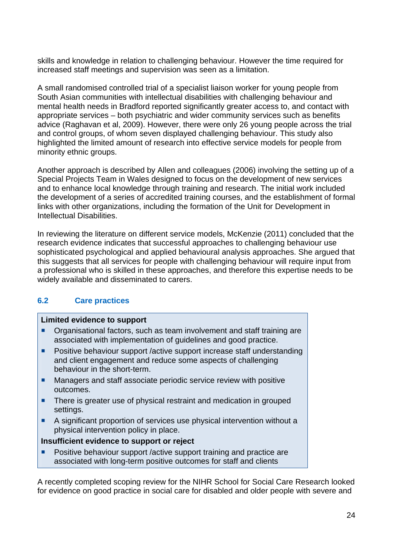skills and knowledge in relation to challenging behaviour. However the time required for increased staff meetings and supervision was seen as a limitation.

A small randomised controlled trial of a specialist liaison worker for young people from South Asian communities with intellectual disabilities with challenging behaviour and mental health needs in Bradford reported significantly greater access to, and contact with appropriate services – both psychiatric and wider community services such as benefits advice (Raghavan et al, 2009). However, there were only 26 young people across the trial and control groups, of whom seven displayed challenging behaviour. This study also highlighted the limited amount of research into effective service models for people from minority ethnic groups.

Another approach is described by Allen and colleagues (2006) involving the setting up of a Special Projects Team in Wales designed to focus on the development of new services and to enhance local knowledge through training and research. The initial work included the development of a series of accredited training courses, and the establishment of formal links with other organizations, including the formation of the Unit for Development in Intellectual Disabilities.

In reviewing the literature on different service models, McKenzie (2011) concluded that the research evidence indicates that successful approaches to challenging behaviour use sophisticated psychological and applied behavioural analysis approaches. She argued that this suggests that all services for people with challenging behaviour will require input from a professional who is skilled in these approaches, and therefore this expertise needs to be widely available and disseminated to carers.

#### **6.2 Care practices**

#### **Limited evidence to support**

- Organisational factors, such as team involvement and staff training are associated with implementation of guidelines and good practice.
- **Positive behaviour support /active support increase staff understanding** and client engagement and reduce some aspects of challenging behaviour in the short-term.
- **Managers and staff associate periodic service review with positive** outcomes.
- **There is greater use of physical restraint and medication in grouped** settings.
- A significant proportion of services use physical intervention without a physical intervention policy in place.

#### **Insufficient evidence to support or reject**

 Positive behaviour support /active support training and practice are associated with long-term positive outcomes for staff and clients

A recently completed scoping review for the NIHR School for Social Care Research looked for evidence on good practice in social care for disabled and older people with severe and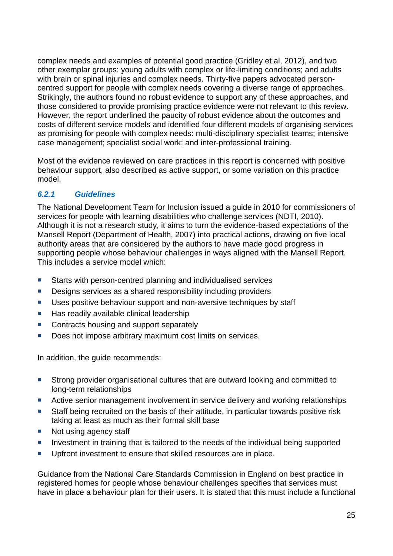complex needs and examples of potential good practice (Gridley et al, 2012), and two other exemplar groups: young adults with complex or life-limiting conditions; and adults with brain or spinal injuries and complex needs. Thirty-five papers advocated personcentred support for people with complex needs covering a diverse range of approaches. Strikingly, the authors found no robust evidence to support any of these approaches, and those considered to provide promising practice evidence were not relevant to this review. However, the report underlined the paucity of robust evidence about the outcomes and costs of different service models and identified four different models of organising services as promising for people with complex needs: multi-disciplinary specialist teams; intensive case management; specialist social work; and inter-professional training.

Most of the evidence reviewed on care practices in this report is concerned with positive behaviour support, also described as active support, or some variation on this practice model.

#### *6.2.1 Guidelines*

The National Development Team for Inclusion issued a guide in 2010 for commissioners of services for people with learning disabilities who challenge services (NDTI, 2010). Although it is not a research study, it aims to turn the evidence-based expectations of the Mansell Report (Department of Health, 2007) into practical actions, drawing on five local authority areas that are considered by the authors to have made good progress in supporting people whose behaviour challenges in ways aligned with the Mansell Report. This includes a service model which:

- Starts with person-centred planning and individualised services
- Designs services as a shared responsibility including providers
- Uses positive behaviour support and non-aversive techniques by staff
- $\blacksquare$  Has readily available clinical leadership
- Contracts housing and support separately
- Does not impose arbitrary maximum cost limits on services.

In addition, the guide recommends:

- **Strong provider organisational cultures that are outward looking and committed to** long-term relationships
- **Active senior management involvement in service delivery and working relationships**
- Staff being recruited on the basis of their attitude, in particular towards positive risk taking at least as much as their formal skill base
- Not using agency staff
- **IDED** Investment in training that is tailored to the needs of the individual being supported
- **Upfront investment to ensure that skilled resources are in place.**

Guidance from the National Care Standards Commission in England on best practice in registered homes for people whose behaviour challenges specifies that services must have in place a behaviour plan for their users. It is stated that this must include a functional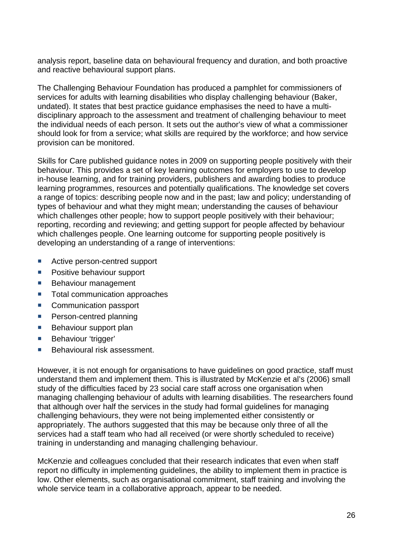analysis report, baseline data on behavioural frequency and duration, and both proactive and reactive behavioural support plans.

The Challenging Behaviour Foundation has produced a pamphlet for commissioners of services for adults with learning disabilities who display challenging behaviour (Baker, undated). It states that best practice guidance emphasises the need to have a multidisciplinary approach to the assessment and treatment of challenging behaviour to meet the individual needs of each person. It sets out the author's view of what a commissioner should look for from a service; what skills are required by the workforce; and how service provision can be monitored.

Skills for Care published guidance notes in 2009 on supporting people positively with their behaviour. This provides a set of key learning outcomes for employers to use to develop in-house learning, and for training providers, publishers and awarding bodies to produce learning programmes, resources and potentially qualifications. The knowledge set covers a range of topics: describing people now and in the past; law and policy; understanding of types of behaviour and what they might mean; understanding the causes of behaviour which challenges other people; how to support people positively with their behaviour; reporting, recording and reviewing; and getting support for people affected by behaviour which challenges people. One learning outcome for supporting people positively is developing an understanding of a range of interventions:

- Active person-centred support
- **Positive behaviour support**
- **Behaviour management**
- Total communication approaches
- Communication passport
- **Person-centred planning**
- **Behaviour support plan**
- **Behaviour 'trigger'**
- Behavioural risk assessment.

However, it is not enough for organisations to have guidelines on good practice, staff must understand them and implement them. This is illustrated by McKenzie et al's (2006) small study of the difficulties faced by 23 social care staff across one organisation when managing challenging behaviour of adults with learning disabilities. The researchers found that although over half the services in the study had formal guidelines for managing challenging behaviours, they were not being implemented either consistently or appropriately. The authors suggested that this may be because only three of all the services had a staff team who had all received (or were shortly scheduled to receive) training in understanding and managing challenging behaviour.

McKenzie and colleagues concluded that their research indicates that even when staff report no difficulty in implementing guidelines, the ability to implement them in practice is low. Other elements, such as organisational commitment, staff training and involving the whole service team in a collaborative approach, appear to be needed.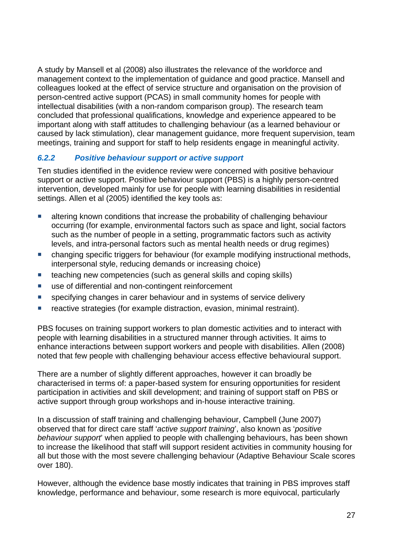A study by Mansell et al (2008) also illustrates the relevance of the workforce and management context to the implementation of guidance and good practice. Mansell and colleagues looked at the effect of service structure and organisation on the provision of person-centred active support (PCAS) in small community homes for people with intellectual disabilities (with a non-random comparison group). The research team concluded that professional qualifications, knowledge and experience appeared to be important along with staff attitudes to challenging behaviour (as a learned behaviour or caused by lack stimulation), clear management guidance, more frequent supervision, team meetings, training and support for staff to help residents engage in meaningful activity.

#### *6.2.2 Positive behaviour support or active support*

Ten studies identified in the evidence review were concerned with positive behaviour support or active support. Positive behaviour support (PBS) is a highly person-centred intervention, developed mainly for use for people with learning disabilities in residential settings. Allen et al (2005) identified the key tools as:

- **E** altering known conditions that increase the probability of challenging behaviour occurring (for example, environmental factors such as space and light, social factors such as the number of people in a setting, programmatic factors such as activity levels, and intra-personal factors such as mental health needs or drug regimes)
- changing specific triggers for behaviour (for example modifying instructional methods, interpersonal style, reducing demands or increasing choice)
- teaching new competencies (such as general skills and coping skills)
- use of differential and non-contingent reinforcement
- **specifying changes in carer behaviour and in systems of service delivery**
- reactive strategies (for example distraction, evasion, minimal restraint).

PBS focuses on training support workers to plan domestic activities and to interact with people with learning disabilities in a structured manner through activities. It aims to enhance interactions between support workers and people with disabilities. Allen (2008) noted that few people with challenging behaviour access effective behavioural support.

There are a number of slightly different approaches, however it can broadly be characterised in terms of: a paper-based system for ensuring opportunities for resident participation in activities and skill development; and training of support staff on PBS or active support through group workshops and in-house interactive training.

In a discussion of staff training and challenging behaviour, Campbell (June 2007) observed that for direct care staff '*active support training*', also known as '*positive behaviour support*' when applied to people with challenging behaviours, has been shown to increase the likelihood that staff will support resident activities in community housing for all but those with the most severe challenging behaviour (Adaptive Behaviour Scale scores over 180).

However, although the evidence base mostly indicates that training in PBS improves staff knowledge, performance and behaviour, some research is more equivocal, particularly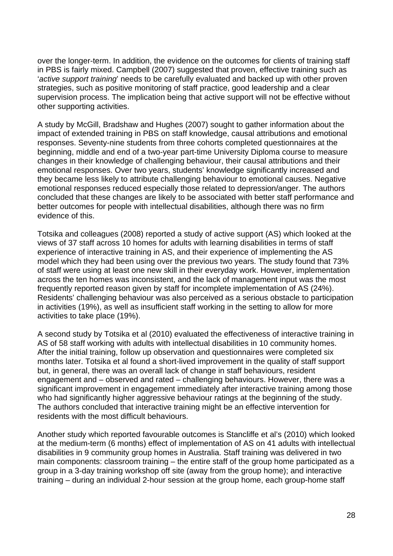over the longer-term. In addition, the evidence on the outcomes for clients of training staff in PBS is fairly mixed. Campbell (2007) suggested that proven, effective training such as '*active support training*' needs to be carefully evaluated and backed up with other proven strategies, such as positive monitoring of staff practice, good leadership and a clear supervision process. The implication being that active support will not be effective without other supporting activities.

A study by McGill, Bradshaw and Hughes (2007) sought to gather information about the impact of extended training in PBS on staff knowledge, causal attributions and emotional responses. Seventy-nine students from three cohorts completed questionnaires at the beginning, middle and end of a two-year part-time University Diploma course to measure changes in their knowledge of challenging behaviour, their causal attributions and their emotional responses. Over two years, students' knowledge significantly increased and they became less likely to attribute challenging behaviour to emotional causes. Negative emotional responses reduced especially those related to depression/anger. The authors concluded that these changes are likely to be associated with better staff performance and better outcomes for people with intellectual disabilities, although there was no firm evidence of this.

Totsika and colleagues (2008) reported a study of active support (AS) which looked at the views of 37 staff across 10 homes for adults with learning disabilities in terms of staff experience of interactive training in AS, and their experience of implementing the AS model which they had been using over the previous two years. The study found that 73% of staff were using at least one new skill in their everyday work. However, implementation across the ten homes was inconsistent, and the lack of management input was the most frequently reported reason given by staff for incomplete implementation of AS (24%). Residents' challenging behaviour was also perceived as a serious obstacle to participation in activities (19%), as well as insufficient staff working in the setting to allow for more activities to take place (19%).

A second study by Totsika et al (2010) evaluated the effectiveness of interactive training in AS of 58 staff working with adults with intellectual disabilities in 10 community homes. After the initial training, follow up observation and questionnaires were completed six months later. Totsika et al found a short-lived improvement in the quality of staff support but, in general, there was an overall lack of change in staff behaviours, resident engagement and – observed and rated – challenging behaviours. However, there was a significant improvement in engagement immediately after interactive training among those who had significantly higher aggressive behaviour ratings at the beginning of the study. The authors concluded that interactive training might be an effective intervention for residents with the most difficult behaviours.

Another study which reported favourable outcomes is Stancliffe et al's (2010) which looked at the medium-term (6 months) effect of implementation of AS on 41 adults with intellectual disabilities in 9 community group homes in Australia. Staff training was delivered in two main components: classroom training – the entire staff of the group home participated as a group in a 3-day training workshop off site (away from the group home); and interactive training – during an individual 2-hour session at the group home, each group-home staff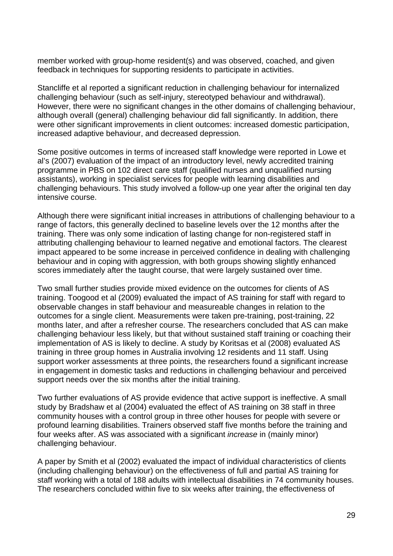member worked with group-home resident(s) and was observed, coached, and given feedback in techniques for supporting residents to participate in activities.

Stancliffe et al reported a significant reduction in challenging behaviour for internalized challenging behaviour (such as self-injury, stereotyped behaviour and withdrawal). However, there were no significant changes in the other domains of challenging behaviour, although overall (general) challenging behaviour did fall significantly. In addition, there were other significant improvements in client outcomes: increased domestic participation, increased adaptive behaviour, and decreased depression.

Some positive outcomes in terms of increased staff knowledge were reported in Lowe et al's (2007) evaluation of the impact of an introductory level, newly accredited training programme in PBS on 102 direct care staff (qualified nurses and unqualified nursing assistants), working in specialist services for people with learning disabilities and challenging behaviours. This study involved a follow-up one year after the original ten day intensive course.

Although there were significant initial increases in attributions of challenging behaviour to a range of factors, this generally declined to baseline levels over the 12 months after the training. There was only some indication of lasting change for non-registered staff in attributing challenging behaviour to learned negative and emotional factors. The clearest impact appeared to be some increase in perceived confidence in dealing with challenging behaviour and in coping with aggression, with both groups showing slightly enhanced scores immediately after the taught course, that were largely sustained over time.

Two small further studies provide mixed evidence on the outcomes for clients of AS training. Toogood et al (2009) evaluated the impact of AS training for staff with regard to observable changes in staff behaviour and measureable changes in relation to the outcomes for a single client. Measurements were taken pre-training, post-training, 22 months later, and after a refresher course. The researchers concluded that AS can make challenging behaviour less likely, but that without sustained staff training or coaching their implementation of AS is likely to decline. A study by Koritsas et al (2008) evaluated AS training in three group homes in Australia involving 12 residents and 11 staff. Using support worker assessments at three points, the researchers found a significant increase in engagement in domestic tasks and reductions in challenging behaviour and perceived support needs over the six months after the initial training.

Two further evaluations of AS provide evidence that active support is ineffective. A small study by Bradshaw et al (2004) evaluated the effect of AS training on 38 staff in three community houses with a control group in three other houses for people with severe or profound learning disabilities. Trainers observed staff five months before the training and four weeks after. AS was associated with a significant *increase* in (mainly minor) challenging behaviour.

A paper by Smith et al (2002) evaluated the impact of individual characteristics of clients (including challenging behaviour) on the effectiveness of full and partial AS training for staff working with a total of 188 adults with intellectual disabilities in 74 community houses. The researchers concluded within five to six weeks after training, the effectiveness of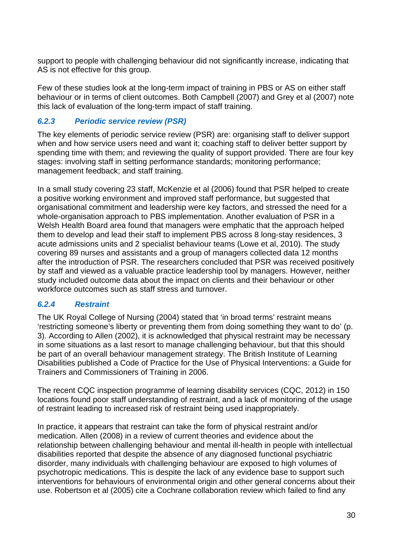support to people with challenging behaviour did not significantly increase, indicating that AS is not effective for this group.

Few of these studies look at the long-term impact of training in PBS or AS on either staff behaviour or in terms of client outcomes. Both Campbell (2007) and Grey et al (2007) note this lack of evaluation of the long-term impact of staff training.

#### *6.2.3 Periodic service review (PSR)*

The key elements of periodic service review (PSR) are: organising staff to deliver support when and how service users need and want it; coaching staff to deliver better support by spending time with them; and reviewing the quality of support provided. There are four key stages: involving staff in setting performance standards; monitoring performance; management feedback; and staff training.

In a small study covering 23 staff, McKenzie et al (2006) found that PSR helped to create a positive working environment and improved staff performance, but suggested that organisational commitment and leadership were key factors, and stressed the need for a whole-organisation approach to PBS implementation. Another evaluation of PSR in a Welsh Health Board area found that managers were emphatic that the approach helped them to develop and lead their staff to implement PBS across 8 long-stay residences, 3 acute admissions units and 2 specialist behaviour teams (Lowe et al, 2010). The study covering 89 nurses and assistants and a group of managers collected data 12 months after the introduction of PSR. The researchers concluded that PSR was received positively by staff and viewed as a valuable practice leadership tool by managers. However, neither study included outcome data about the impact on clients and their behaviour or other workforce outcomes such as staff stress and turnover.

#### *6.2.4 Restraint*

The UK Royal College of Nursing (2004) stated that 'in broad terms' restraint means 'restricting someone's liberty or preventing them from doing something they want to do' (p. 3). According to Allen (2002), it is acknowledged that physical restraint may be necessary in some situations as a last resort to manage challenging behaviour, but that this should be part of an overall behaviour management strategy. The British Institute of Learning Disabilities published a Code of Practice for the Use of Physical Interventions: a Guide for Trainers and Commissioners of Training in 2006.

The recent CQC inspection programme of learning disability services (CQC, 2012) in 150 locations found poor staff understanding of restraint, and a lack of monitoring of the usage of restraint leading to increased risk of restraint being used inappropriately.

In practice, it appears that restraint can take the form of physical restraint and/or medication. Allen (2008) in a review of current theories and evidence about the relationship between challenging behaviour and mental ill-health in people with intellectual disabilities reported that despite the absence of any diagnosed functional psychiatric disorder, many individuals with challenging behaviour are exposed to high volumes of psychotropic medications. This is despite the lack of any evidence base to support such interventions for behaviours of environmental origin and other general concerns about their use. Robertson et al (2005) cite a Cochrane collaboration review which failed to find any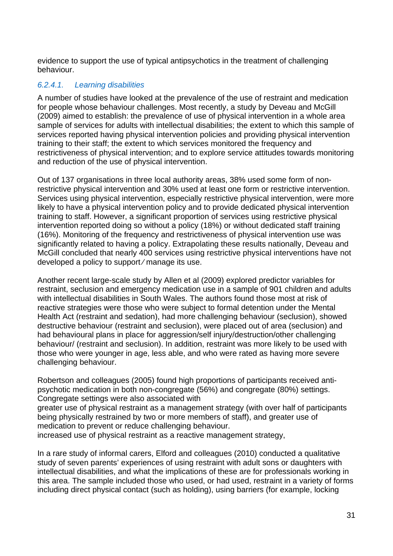evidence to support the use of typical antipsychotics in the treatment of challenging behaviour.

#### *6.2.4.1. Learning disabilities*

A number of studies have looked at the prevalence of the use of restraint and medication for people whose behaviour challenges. Most recently, a study by Deveau and McGill (2009) aimed to establish: the prevalence of use of physical intervention in a whole area sample of services for adults with intellectual disabilities; the extent to which this sample of services reported having physical intervention policies and providing physical intervention training to their staff; the extent to which services monitored the frequency and restrictiveness of physical intervention; and to explore service attitudes towards monitoring and reduction of the use of physical intervention.

Out of 137 organisations in three local authority areas, 38% used some form of nonrestrictive physical intervention and 30% used at least one form or restrictive intervention. Services using physical intervention, especially restrictive physical intervention, were more likely to have a physical intervention policy and to provide dedicated physical intervention training to staff. However, a significant proportion of services using restrictive physical intervention reported doing so without a policy (18%) or without dedicated staff training (16%). Monitoring of the frequency and restrictiveness of physical intervention use was significantly related to having a policy. Extrapolating these results nationally, Deveau and McGill concluded that nearly 400 services using restrictive physical interventions have not developed a policy to support ⁄ manage its use.

Another recent large-scale study by Allen et al (2009) explored predictor variables for restraint, seclusion and emergency medication use in a sample of 901 children and adults with intellectual disabilities in South Wales. The authors found those most at risk of reactive strategies were those who were subject to formal detention under the Mental Health Act (restraint and sedation), had more challenging behaviour (seclusion), showed destructive behaviour (restraint and seclusion), were placed out of area (seclusion) and had behavioural plans in place for aggression/self injury/destruction/other challenging behaviour/ (restraint and seclusion). In addition, restraint was more likely to be used with those who were younger in age, less able, and who were rated as having more severe challenging behaviour.

Robertson and colleagues (2005) found high proportions of participants received antipsychotic medication in both non-congregate (56%) and congregate (80%) settings. Congregate settings were also associated with

greater use of physical restraint as a management strategy (with over half of participants being physically restrained by two or more members of staff), and greater use of medication to prevent or reduce challenging behaviour.

increased use of physical restraint as a reactive management strategy,

In a rare study of informal carers, Elford and colleagues (2010) conducted a qualitative study of seven parents' experiences of using restraint with adult sons or daughters with intellectual disabilities, and what the implications of these are for professionals working in this area. The sample included those who used, or had used, restraint in a variety of forms including direct physical contact (such as holding), using barriers (for example, locking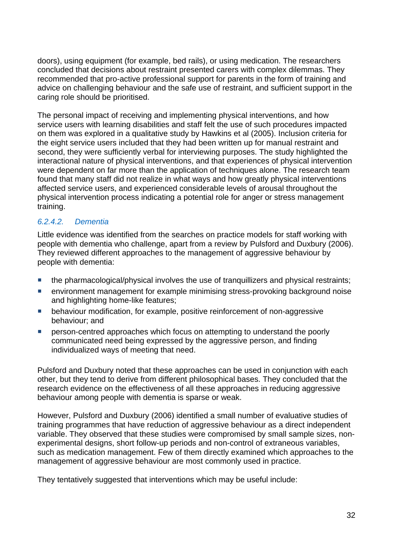doors), using equipment (for example, bed rails), or using medication. The researchers concluded that decisions about restraint presented carers with complex dilemmas. They recommended that pro-active professional support for parents in the form of training and advice on challenging behaviour and the safe use of restraint, and sufficient support in the caring role should be prioritised.

The personal impact of receiving and implementing physical interventions, and how service users with learning disabilities and staff felt the use of such procedures impacted on them was explored in a qualitative study by Hawkins et al (2005). Inclusion criteria for the eight service users included that they had been written up for manual restraint and second, they were sufficiently verbal for interviewing purposes. The study highlighted the interactional nature of physical interventions, and that experiences of physical intervention were dependent on far more than the application of techniques alone. The research team found that many staff did not realize in what ways and how greatly physical interventions affected service users, and experienced considerable levels of arousal throughout the physical intervention process indicating a potential role for anger or stress management training.

#### *6.2.4.2. Dementia*

Little evidence was identified from the searches on practice models for staff working with people with dementia who challenge, apart from a review by Pulsford and Duxbury (2006). They reviewed different approaches to the management of aggressive behaviour by people with dementia:

- **the pharmacological/physical involves the use of tranquillizers and physical restraints;**
- environment management for example minimising stress-provoking background noise and highlighting home-like features;
- **EXECT** behaviour modification, for example, positive reinforcement of non-aggressive behaviour; and
- person-centred approaches which focus on attempting to understand the poorly communicated need being expressed by the aggressive person, and finding individualized ways of meeting that need.

Pulsford and Duxbury noted that these approaches can be used in conjunction with each other, but they tend to derive from different philosophical bases. They concluded that the research evidence on the effectiveness of all these approaches in reducing aggressive behaviour among people with dementia is sparse or weak.

However, Pulsford and Duxbury (2006) identified a small number of evaluative studies of training programmes that have reduction of aggressive behaviour as a direct independent variable. They observed that these studies were compromised by small sample sizes, nonexperimental designs, short follow-up periods and non-control of extraneous variables, such as medication management. Few of them directly examined which approaches to the management of aggressive behaviour are most commonly used in practice.

They tentatively suggested that interventions which may be useful include: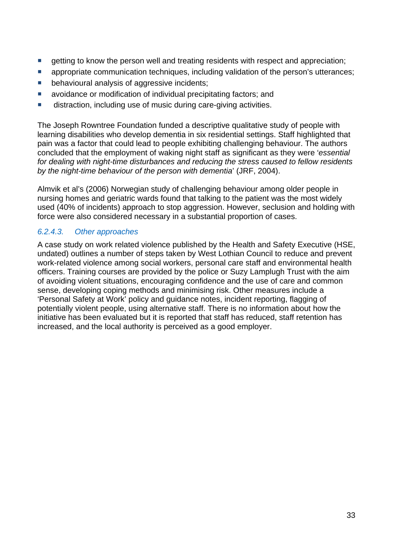- **E** getting to know the person well and treating residents with respect and appreciation;
- **E** appropriate communication techniques, including validation of the person's utterances;
- **•** behavioural analysis of aggressive incidents;
- **a** avoidance or modification of individual precipitating factors; and
- distraction, including use of music during care-giving activities.

The Joseph Rowntree Foundation funded a descriptive qualitative study of people with learning disabilities who develop dementia in six residential settings. Staff highlighted that pain was a factor that could lead to people exhibiting challenging behaviour. The authors concluded that the employment of waking night staff as significant as they were '*essential for dealing with night-time disturbances and reducing the stress caused to fellow residents by the night-time behaviour of the person with dementia*' (JRF, 2004).

Almvik et al's (2006) Norwegian study of challenging behaviour among older people in nursing homes and geriatric wards found that talking to the patient was the most widely used (40% of incidents) approach to stop aggression. However, seclusion and holding with force were also considered necessary in a substantial proportion of cases.

#### *6.2.4.3. Other approaches*

A case study on work related violence published by the Health and Safety Executive (HSE, undated) outlines a number of steps taken by West Lothian Council to reduce and prevent work-related violence among social workers, personal care staff and environmental health officers. Training courses are provided by the police or Suzy Lamplugh Trust with the aim of avoiding violent situations, encouraging confidence and the use of care and common sense, developing coping methods and minimising risk. Other measures include a 'Personal Safety at Work' policy and guidance notes, incident reporting, flagging of potentially violent people, using alternative staff. There is no information about how the initiative has been evaluated but it is reported that staff has reduced, staff retention has increased, and the local authority is perceived as a good employer.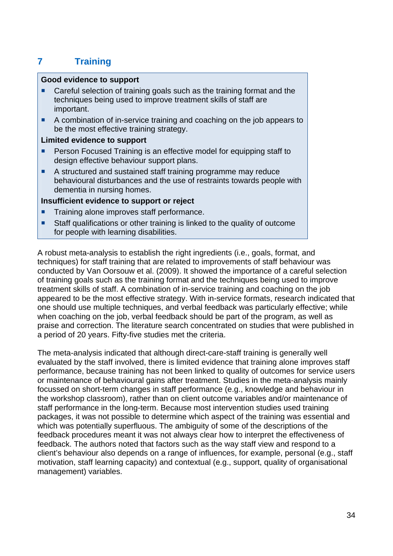## **7 Training**

#### **Good evidence to support**

- Careful selection of training goals such as the training format and the techniques being used to improve treatment skills of staff are important.
- A combination of in-service training and coaching on the job appears to be the most effective training strategy.

#### **Limited evidence to support**

- Person Focused Training is an effective model for equipping staff to design effective behaviour support plans.
- A structured and sustained staff training programme may reduce behavioural disturbances and the use of restraints towards people with dementia in nursing homes.

#### **Insufficient evidence to support or reject**

- Training alone improves staff performance.
- Staff qualifications or other training is linked to the quality of outcome for people with learning disabilities.

A robust meta-analysis to establish the right ingredients (i.e., goals, format, and techniques) for staff training that are related to improvements of staff behaviour was conducted by Van Oorsouw et al. (2009). It showed the importance of a careful selection of training goals such as the training format and the techniques being used to improve treatment skills of staff. A combination of in-service training and coaching on the job appeared to be the most effective strategy. With in-service formats, research indicated that one should use multiple techniques, and verbal feedback was particularly effective; while when coaching on the job, verbal feedback should be part of the program, as well as praise and correction. The literature search concentrated on studies that were published in a period of 20 years. Fifty-five studies met the criteria.

The meta-analysis indicated that although direct-care-staff training is generally well evaluated by the staff involved, there is limited evidence that training alone improves staff performance, because training has not been linked to quality of outcomes for service users or maintenance of behavioural gains after treatment. Studies in the meta-analysis mainly focussed on short-term changes in staff performance (e.g., knowledge and behaviour in the workshop classroom), rather than on client outcome variables and/or maintenance of staff performance in the long-term. Because most intervention studies used training packages, it was not possible to determine which aspect of the training was essential and which was potentially superfluous. The ambiguity of some of the descriptions of the feedback procedures meant it was not always clear how to interpret the effectiveness of feedback. The authors noted that factors such as the way staff view and respond to a client's behaviour also depends on a range of influences, for example, personal (e.g., staff motivation, staff learning capacity) and contextual (e.g., support, quality of organisational management) variables.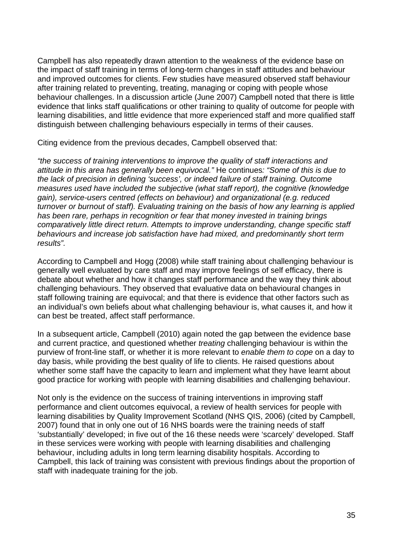Campbell has also repeatedly drawn attention to the weakness of the evidence base on the impact of staff training in terms of long-term changes in staff attitudes and behaviour and improved outcomes for clients. Few studies have measured observed staff behaviour after training related to preventing, treating, managing or coping with people whose behaviour challenges. In a discussion article (June 2007) Campbell noted that there is little evidence that links staff qualifications or other training to quality of outcome for people with learning disabilities, and little evidence that more experienced staff and more qualified staff distinguish between challenging behaviours especially in terms of their causes.

Citing evidence from the previous decades, Campbell observed that:

*"the success of training interventions to improve the quality of staff interactions and attitude in this area has generally been equivocal."* He continues*: "Some of this is due to the lack of precision in defining 'success', or indeed failure of staff training. Outcome measures used have included the subjective (what staff report), the cognitive (knowledge gain), service-users centred (effects on behaviour) and organizational (e.g. reduced turnover or burnout of staff). Evaluating training on the basis of how any learning is applied has been rare, perhaps in recognition or fear that money invested in training brings comparatively little direct return. Attempts to improve understanding, change specific staff behaviours and increase job satisfaction have had mixed, and predominantly short term results".*

According to Campbell and Hogg (2008) while staff training about challenging behaviour is generally well evaluated by care staff and may improve feelings of self efficacy, there is debate about whether and how it changes staff performance and the way they think about challenging behaviours. They observed that evaluative data on behavioural changes in staff following training are equivocal; and that there is evidence that other factors such as an individual's own beliefs about what challenging behaviour is, what causes it, and how it can best be treated, affect staff performance.

In a subsequent article, Campbell (2010) again noted the gap between the evidence base and current practice, and questioned whether *treating* challenging behaviour is within the purview of front-line staff, or whether it is more relevant to *enable them to cope* on a day to day basis, while providing the best quality of life to clients. He raised questions about whether some staff have the capacity to learn and implement what they have learnt about good practice for working with people with learning disabilities and challenging behaviour.

Not only is the evidence on the success of training interventions in improving staff performance and client outcomes equivocal, a review of health services for people with learning disabilities by Quality Improvement Scotland (NHS QIS, 2006) (cited by Campbell, 2007) found that in only one out of 16 NHS boards were the training needs of staff 'substantially' developed; in five out of the 16 these needs were 'scarcely' developed. Staff in these services were working with people with learning disabilities and challenging behaviour, including adults in long term learning disability hospitals. According to Campbell, this lack of training was consistent with previous findings about the proportion of staff with inadequate training for the job.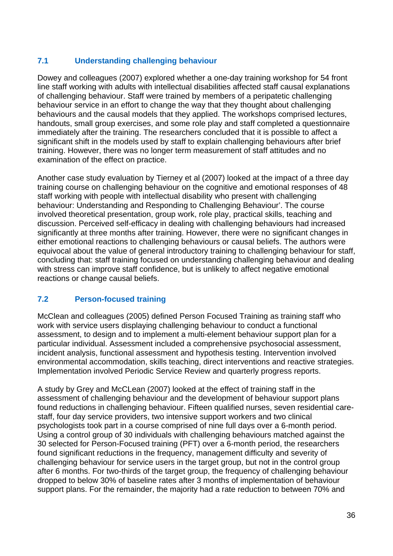#### **7.1 Understanding challenging behaviour**

Dowey and colleagues (2007) explored whether a one-day training workshop for 54 front line staff working with adults with intellectual disabilities affected staff causal explanations of challenging behaviour. Staff were trained by members of a peripatetic challenging behaviour service in an effort to change the way that they thought about challenging behaviours and the causal models that they applied. The workshops comprised lectures, handouts, small group exercises, and some role play and staff completed a questionnaire immediately after the training. The researchers concluded that it is possible to affect a significant shift in the models used by staff to explain challenging behaviours after brief training. However, there was no longer term measurement of staff attitudes and no examination of the effect on practice.

Another case study evaluation by Tierney et al (2007) looked at the impact of a three day training course on challenging behaviour on the cognitive and emotional responses of 48 staff working with people with intellectual disability who present with challenging behaviour: Understanding and Responding to Challenging Behaviour'. The course involved theoretical presentation, group work, role play, practical skills, teaching and discussion. Perceived self-efficacy in dealing with challenging behaviours had increased significantly at three months after training. However, there were no significant changes in either emotional reactions to challenging behaviours or causal beliefs. The authors were equivocal about the value of general introductory training to challenging behaviour for staff. concluding that: staff training focused on understanding challenging behaviour and dealing with stress can improve staff confidence, but is unlikely to affect negative emotional reactions or change causal beliefs.

#### **7.2 Person-focused training**

McClean and colleagues (2005) defined Person Focused Training as training staff who work with service users displaying challenging behaviour to conduct a functional assessment, to design and to implement a multi-element behaviour support plan for a particular individual. Assessment included a comprehensive psychosocial assessment, incident analysis, functional assessment and hypothesis testing. Intervention involved environmental accommodation, skills teaching, direct interventions and reactive strategies. Implementation involved Periodic Service Review and quarterly progress reports.

A study by Grey and McCLean (2007) looked at the effect of training staff in the assessment of challenging behaviour and the development of behaviour support plans found reductions in challenging behaviour. Fifteen qualified nurses, seven residential carestaff, four day service providers, two intensive support workers and two clinical psychologists took part in a course comprised of nine full days over a 6-month period. Using a control group of 30 individuals with challenging behaviours matched against the 30 selected for Person-Focused training (PFT) over a 6-month period, the researchers found significant reductions in the frequency, management difficulty and severity of challenging behaviour for service users in the target group, but not in the control group after 6 months. For two-thirds of the target group, the frequency of challenging behaviour dropped to below 30% of baseline rates after 3 months of implementation of behaviour support plans. For the remainder, the majority had a rate reduction to between 70% and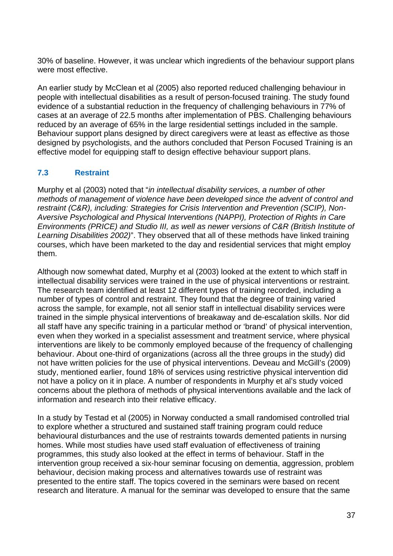30% of baseline. However, it was unclear which ingredients of the behaviour support plans were most effective.

An earlier study by McClean et al (2005) also reported reduced challenging behaviour in people with intellectual disabilities as a result of person-focused training. The study found evidence of a substantial reduction in the frequency of challenging behaviours in 77% of cases at an average of 22.5 months after implementation of PBS. Challenging behaviours reduced by an average of 65% in the large residential settings included in the sample. Behaviour support plans designed by direct caregivers were at least as effective as those designed by psychologists, and the authors concluded that Person Focused Training is an effective model for equipping staff to design effective behaviour support plans.

## **7.3 Restraint**

Murphy et al (2003) noted that "*in intellectual disability services, a number of other methods of management of violence have been developed since the advent of control and restraint (C&R), including: Strategies for Crisis Intervention and Prevention (SCIP), Non-Aversive Psychological and Physical Interventions (NAPPI), Protection of Rights in Care Environments (PRICE) and Studio III, as well as newer versions of C&R (British Institute of Learning Disabilities 2002)*". They observed that all of these methods have linked training courses, which have been marketed to the day and residential services that might employ them.

Although now somewhat dated, Murphy et al (2003) looked at the extent to which staff in intellectual disability services were trained in the use of physical interventions or restraint. The research team identified at least 12 different types of training recorded, including a number of types of control and restraint. They found that the degree of training varied across the sample, for example, not all senior staff in intellectual disability services were trained in the simple physical interventions of breakaway and de-escalation skills. Nor did all staff have any specific training in a particular method or 'brand' of physical intervention, even when they worked in a specialist assessment and treatment service, where physical interventions are likely to be commonly employed because of the frequency of challenging behaviour. About one-third of organizations (across all the three groups in the study) did not have written policies for the use of physical interventions. Deveau and McGill's (2009) study, mentioned earlier, found 18% of services using restrictive physical intervention did not have a policy on it in place. A number of respondents in Murphy et al's study voiced concerns about the plethora of methods of physical interventions available and the lack of information and research into their relative efficacy.

In a study by Testad et al (2005) in Norway conducted a small randomised controlled trial to explore whether a structured and sustained staff training program could reduce behavioural disturbances and the use of restraints towards demented patients in nursing homes. While most studies have used staff evaluation of effectiveness of training programmes, this study also looked at the effect in terms of behaviour. Staff in the intervention group received a six-hour seminar focusing on dementia, aggression, problem behaviour, decision making process and alternatives towards use of restraint was presented to the entire staff. The topics covered in the seminars were based on recent research and literature. A manual for the seminar was developed to ensure that the same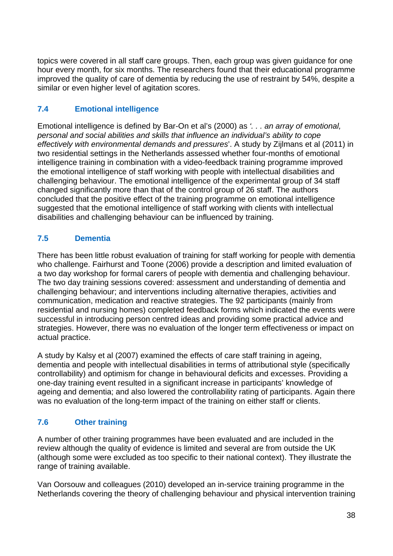topics were covered in all staff care groups. Then, each group was given guidance for one hour every month, for six months. The researchers found that their educational programme improved the quality of care of dementia by reducing the use of restraint by 54%, despite a similar or even higher level of agitation scores.

## **7.4 Emotional intelligence**

Emotional intelligence is defined by Bar-On et al's (2000) as *'. . . an array of emotional, personal and social abilities and skills that influence an individual's ability to cope effectively with environmental demands and pressures*'. A study by Zijlmans et al (2011) in two residential settings in the Netherlands assessed whether four-months of emotional intelligence training in combination with a video-feedback training programme improved the emotional intelligence of staff working with people with intellectual disabilities and challenging behaviour. The emotional intelligence of the experimental group of 34 staff changed significantly more than that of the control group of 26 staff. The authors concluded that the positive effect of the training programme on emotional intelligence suggested that the emotional intelligence of staff working with clients with intellectual disabilities and challenging behaviour can be influenced by training.

## **7.5 Dementia**

There has been little robust evaluation of training for staff working for people with dementia who challenge. Fairhurst and Toone (2006) provide a description and limited evaluation of a two day workshop for formal carers of people with dementia and challenging behaviour. The two day training sessions covered: assessment and understanding of dementia and challenging behaviour; and interventions including alternative therapies, activities and communication, medication and reactive strategies. The 92 participants (mainly from residential and nursing homes) completed feedback forms which indicated the events were successful in introducing person centred ideas and providing some practical advice and strategies. However, there was no evaluation of the longer term effectiveness or impact on actual practice.

A study by Kalsy et al (2007) examined the effects of care staff training in ageing, dementia and people with intellectual disabilities in terms of attributional style (specifically controllability) and optimism for change in behavioural deficits and excesses. Providing a one-day training event resulted in a significant increase in participants' knowledge of ageing and dementia; and also lowered the controllability rating of participants. Again there was no evaluation of the long-term impact of the training on either staff or clients.

## **7.6 Other training**

A number of other training programmes have been evaluated and are included in the review although the quality of evidence is limited and several are from outside the UK (although some were excluded as too specific to their national context). They illustrate the range of training available.

Van Oorsouw and colleagues (2010) developed an in-service training programme in the Netherlands covering the theory of challenging behaviour and physical intervention training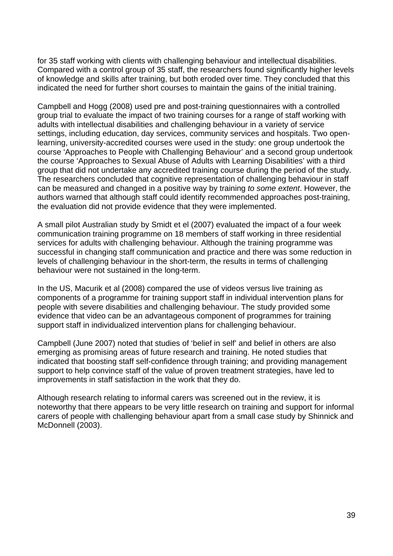for 35 staff working with clients with challenging behaviour and intellectual disabilities. Compared with a control group of 35 staff, the researchers found significantly higher levels of knowledge and skills after training, but both eroded over time. They concluded that this indicated the need for further short courses to maintain the gains of the initial training.

Campbell and Hogg (2008) used pre and post-training questionnaires with a controlled group trial to evaluate the impact of two training courses for a range of staff working with adults with intellectual disabilities and challenging behaviour in a variety of service settings, including education, day services, community services and hospitals. Two openlearning, university-accredited courses were used in the study: one group undertook the course 'Approaches to People with Challenging Behaviour' and a second group undertook the course 'Approaches to Sexual Abuse of Adults with Learning Disabilities' with a third group that did not undertake any accredited training course during the period of the study. The researchers concluded that cognitive representation of challenging behaviour in staff can be measured and changed in a positive way by training *to some extent*. However, the authors warned that although staff could identify recommended approaches post-training, the evaluation did not provide evidence that they were implemented.

A small pilot Australian study by Smidt et el (2007) evaluated the impact of a four week communication training programme on 18 members of staff working in three residential services for adults with challenging behaviour. Although the training programme was successful in changing staff communication and practice and there was some reduction in levels of challenging behaviour in the short-term, the results in terms of challenging behaviour were not sustained in the long-term.

In the US, Macurik et al (2008) compared the use of videos versus live training as components of a programme for training support staff in individual intervention plans for people with severe disabilities and challenging behaviour. The study provided some evidence that video can be an advantageous component of programmes for training support staff in individualized intervention plans for challenging behaviour.

Campbell (June 2007) noted that studies of 'belief in self' and belief in others are also emerging as promising areas of future research and training. He noted studies that indicated that boosting staff self-confidence through training; and providing management support to help convince staff of the value of proven treatment strategies, have led to improvements in staff satisfaction in the work that they do.

Although research relating to informal carers was screened out in the review, it is noteworthy that there appears to be very little research on training and support for informal carers of people with challenging behaviour apart from a small case study by Shinnick and McDonnell (2003).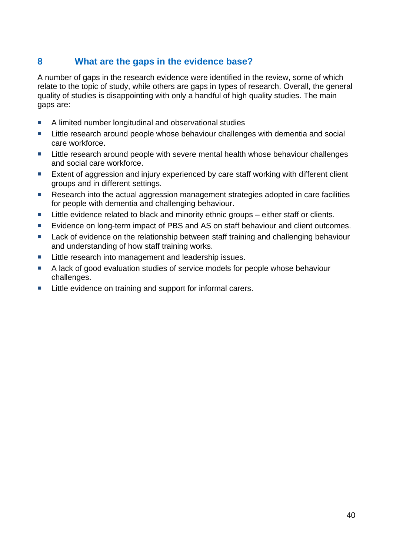## **8 What are the gaps in the evidence base?**

A number of gaps in the research evidence were identified in the review, some of which relate to the topic of study, while others are gaps in types of research. Overall, the general quality of studies is disappointing with only a handful of high quality studies. The main gaps are:

- A limited number longitudinal and observational studies
- **EXTE:** Little research around people whose behaviour challenges with dementia and social care workforce.
- **Little research around people with severe mental health whose behaviour challenges** and social care workforce.
- **EXTER 2018** Extent of aggression and injury experienced by care staff working with different client groups and in different settings.
- Research into the actual aggression management strategies adopted in care facilities for people with dementia and challenging behaviour.
- Little evidence related to black and minority ethnic groups either staff or clients.
- Evidence on long-term impact of PBS and AS on staff behaviour and client outcomes.
- **Lack of evidence on the relationship between staff training and challenging behaviour** and understanding of how staff training works.
- Little research into management and leadership issues.
- A lack of good evaluation studies of service models for people whose behaviour challenges.
- Little evidence on training and support for informal carers.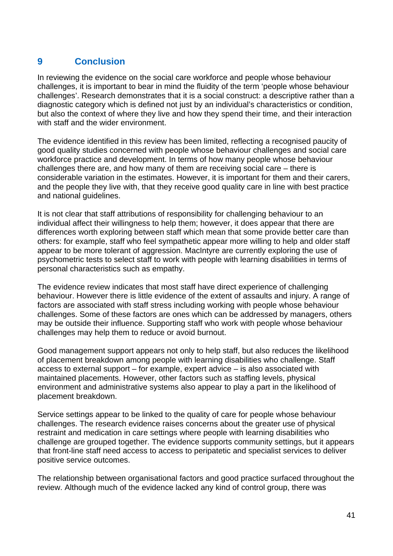## **9 Conclusion**

In reviewing the evidence on the social care workforce and people whose behaviour challenges, it is important to bear in mind the fluidity of the term 'people whose behaviour challenges'. Research demonstrates that it is a social construct: a descriptive rather than a diagnostic category which is defined not just by an individual's characteristics or condition, but also the context of where they live and how they spend their time, and their interaction with staff and the wider environment.

The evidence identified in this review has been limited, reflecting a recognised paucity of good quality studies concerned with people whose behaviour challenges and social care workforce practice and development. In terms of how many people whose behaviour challenges there are, and how many of them are receiving social care – there is considerable variation in the estimates. However, it is important for them and their carers, and the people they live with, that they receive good quality care in line with best practice and national guidelines.

It is not clear that staff attributions of responsibility for challenging behaviour to an individual affect their willingness to help them; however, it does appear that there are differences worth exploring between staff which mean that some provide better care than others: for example, staff who feel sympathetic appear more willing to help and older staff appear to be more tolerant of aggression. MacIntyre are currently exploring the use of psychometric tests to select staff to work with people with learning disabilities in terms of personal characteristics such as empathy.

The evidence review indicates that most staff have direct experience of challenging behaviour. However there is little evidence of the extent of assaults and injury. A range of factors are associated with staff stress including working with people whose behaviour challenges. Some of these factors are ones which can be addressed by managers, others may be outside their influence. Supporting staff who work with people whose behaviour challenges may help them to reduce or avoid burnout.

Good management support appears not only to help staff, but also reduces the likelihood of placement breakdown among people with learning disabilities who challenge. Staff access to external support – for example, expert advice – is also associated with maintained placements. However, other factors such as staffing levels, physical environment and administrative systems also appear to play a part in the likelihood of placement breakdown.

Service settings appear to be linked to the quality of care for people whose behaviour challenges. The research evidence raises concerns about the greater use of physical restraint and medication in care settings where people with learning disabilities who challenge are grouped together. The evidence supports community settings, but it appears that front-line staff need access to access to peripatetic and specialist services to deliver positive service outcomes.

The relationship between organisational factors and good practice surfaced throughout the review. Although much of the evidence lacked any kind of control group, there was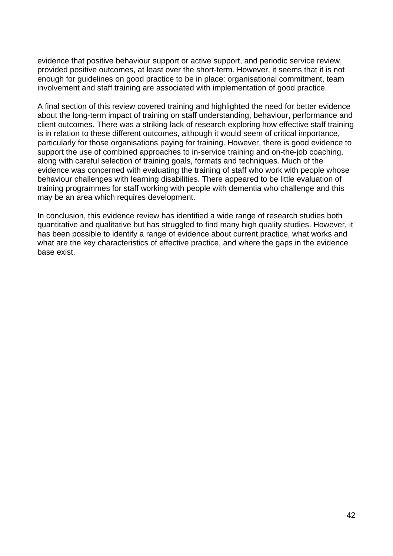evidence that positive behaviour support or active support, and periodic service review, provided positive outcomes, at least over the short-term. However, it seems that it is not enough for guidelines on good practice to be in place: organisational commitment, team involvement and staff training are associated with implementation of good practice.

A final section of this review covered training and highlighted the need for better evidence about the long-term impact of training on staff understanding, behaviour, performance and client outcomes. There was a striking lack of research exploring how effective staff training is in relation to these different outcomes, although it would seem of critical importance, particularly for those organisations paying for training. However, there is good evidence to support the use of combined approaches to in-service training and on-the-job coaching, along with careful selection of training goals, formats and techniques. Much of the evidence was concerned with evaluating the training of staff who work with people whose behaviour challenges with learning disabilities. There appeared to be little evaluation of training programmes for staff working with people with dementia who challenge and this may be an area which requires development.

In conclusion, this evidence review has identified a wide range of research studies both quantitative and qualitative but has struggled to find many high quality studies. However, it has been possible to identify a range of evidence about current practice, what works and what are the key characteristics of effective practice, and where the gaps in the evidence base exist.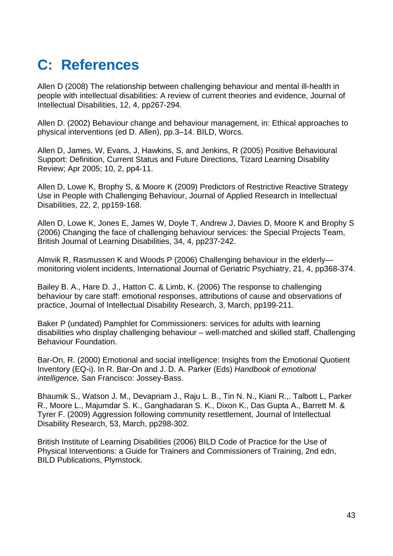## **C: References**

Allen D (2008) The relationship between challenging behaviour and mental ill-health in people with intellectual disabilities: A review of current theories and evidence, Journal of Intellectual Disabilities, 12, 4, pp267-294.

Allen D. (2002) Behaviour change and behaviour management, in: Ethical approaches to physical interventions (ed D. Allen), pp.3–14. BILD, Worcs.

Allen D, James, W, Evans, J, Hawkins, S, and Jenkins, R (2005) Positive Behavioural Support: Definition, Current Status and Future Directions, Tizard Learning Disability Review; Apr 2005; 10, 2, pp4-11.

Allen D, Lowe K, Brophy S, & Moore K (2009) Predictors of Restrictive Reactive Strategy Use in People with Challenging Behaviour, Journal of Applied Research in Intellectual Disabilities, 22, 2, pp159-168.

Allen D, Lowe K, Jones E, James W, Doyle T, Andrew J, Davies D, Moore K and Brophy S (2006) Changing the face of challenging behaviour services: the Special Projects Team, British Journal of Learning Disabilities, 34, 4, pp237-242.

Almvik R, Rasmussen K and Woods P (2006) Challenging behaviour in the elderly monitoring violent incidents, International Journal of Geriatric Psychiatry, 21, 4, pp368-374.

Bailey B. A., Hare D. J., Hatton C. & Limb, K. (2006) The response to challenging behaviour by care staff: emotional responses, attributions of cause and observations of practice, Journal of Intellectual Disability Research, 3, March, pp199-211.

Baker P (undated) Pamphlet for Commissioners: services for adults with learning disabilities who display challenging behaviour – well-matched and skilled staff, Challenging Behaviour Foundation.

Bar-On, R. (2000) Emotional and social intelligence: Insights from the Emotional Quotient Inventory (EQ-i). In R. Bar-On and J. D. A. Parker (Eds) *Handbook of emotional intelligence,* San Francisco: Jossey-Bass.

Bhaumik S., Watson J. M., Devapriam J., Raju L. B., Tin N. N., Kiani R.,. Talbott L, Parker R., Moore L., Majumdar S. K., Ganghadaran S. K., Dixon K., Das Gupta A., Barrett M. & Tyrer F. (2009) Aggression following community resettlement, Journal of Intellectual Disability Research, 53, March, pp298-302.

British Institute of Learning Disabilities (2006) BILD Code of Practice for the Use of Physical Interventions: a Guide for Trainers and Commissioners of Training, 2nd edn, BILD Publications, Plymstock.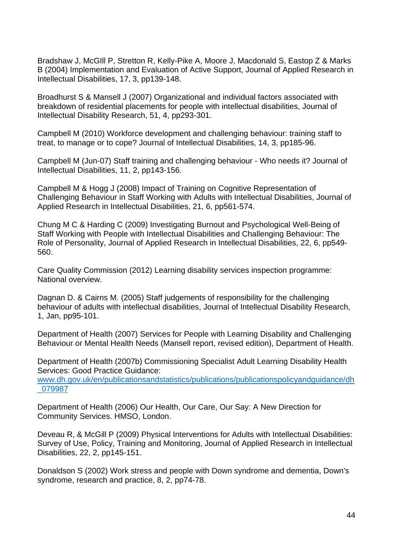Bradshaw J, McGIll P, Stretton R, Kelly-Pike A, Moore J, Macdonald S, Eastop Z & Marks B (2004) Implementation and Evaluation of Active Support, Journal of Applied Research in Intellectual Disabilities, 17, 3, pp139-148.

Broadhurst S & Mansell J (2007) Organizational and individual factors associated with breakdown of residential placements for people with intellectual disabilities, Journal of Intellectual Disability Research, 51, 4, pp293-301.

Campbell M (2010) Workforce development and challenging behaviour: training staff to treat, to manage or to cope? Journal of Intellectual Disabilities, 14, 3, pp185-96.

Campbell M (Jun-07) Staff training and challenging behaviour - Who needs it? Journal of Intellectual Disabilities, 11, 2, pp143-156.

Campbell M & Hogg J (2008) Impact of Training on Cognitive Representation of Challenging Behaviour in Staff Working with Adults with Intellectual Disabilities, Journal of Applied Research in Intellectual Disabilities, 21, 6, pp561-574.

Chung M C & Harding C (2009) Investigating Burnout and Psychological Well-Being of Staff Working with People with Intellectual Disabilities and Challenging Behaviour: The Role of Personality, Journal of Applied Research in Intellectual Disabilities, 22, 6, pp549- 560.

Care Quality Commission (2012) Learning disability services inspection programme: National overview.

Dagnan D. & Cairns M. (2005) Staff judgements of responsibility for the challenging behaviour of adults with intellectual disabilities, Journal of Intellectual Disability Research, 1, Jan, pp95-101.

Department of Health (2007) Services for People with Learning Disability and Challenging Behaviour or Mental Health Needs (Mansell report, revised edition), Department of Health.

Department of Health (2007b) Commissioning Specialist Adult Learning Disability Health Services: Good Practice Guidance:

www.dh.gov.uk/en/publicationsandstatistics/publications/publicationspolicyandguidance/dh \_079987

Department of Health (2006) Our Health, Our Care, Our Say: A New Direction for Community Services. HMSO, London.

Deveau R, & McGill P (2009) Physical Interventions for Adults with Intellectual Disabilities: Survey of Use, Policy, Training and Monitoring, Journal of Applied Research in Intellectual Disabilities, 22, 2, pp145-151.

Donaldson S (2002) Work stress and people with Down syndrome and dementia, Down's syndrome, research and practice, 8, 2, pp74-78.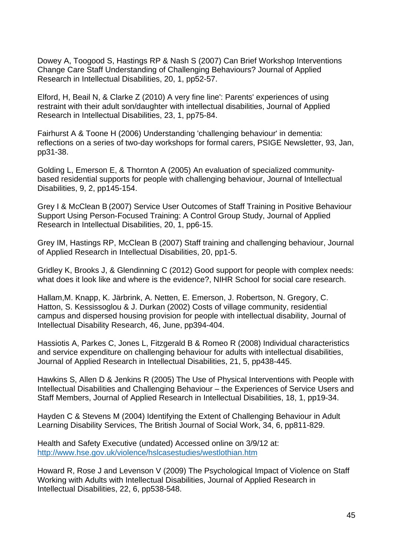Dowey A, Toogood S, Hastings RP & Nash S (2007) Can Brief Workshop Interventions Change Care Staff Understanding of Challenging Behaviours? Journal of Applied Research in Intellectual Disabilities, 20, 1, pp52-57.

Elford, H, Beail N, & Clarke Z (2010) A very fine line': Parents' experiences of using restraint with their adult son/daughter with intellectual disabilities, Journal of Applied Research in Intellectual Disabilities, 23, 1, pp75-84.

Fairhurst A & Toone H (2006) Understanding 'challenging behaviour' in dementia: reflections on a series of two-day workshops for formal carers, PSIGE Newsletter, 93, Jan, pp31-38.

Golding L, Emerson E, & Thornton A (2005) An evaluation of specialized communitybased residential supports for people with challenging behaviour, Journal of Intellectual Disabilities, 9, 2, pp145-154.

Grey I & McClean B (2007) Service User Outcomes of Staff Training in Positive Behaviour Support Using Person-Focused Training: A Control Group Study, Journal of Applied Research in Intellectual Disabilities, 20, 1, pp6-15.

Grey IM, Hastings RP, McClean B (2007) Staff training and challenging behaviour, Journal of Applied Research in Intellectual Disabilities, 20, pp1-5.

Gridley K, Brooks J, & Glendinning C (2012) Good support for people with complex needs: what does it look like and where is the evidence?, NIHR School for social care research.

Hallam,M. Knapp, K. Järbrink, A. Netten, E. Emerson, J. Robertson, N. Gregory, C. Hatton, S. Kessissoglou & J. Durkan (2002) Costs of village community, residential campus and dispersed housing provision for people with intellectual disability, Journal of Intellectual Disability Research, 46, June, pp394-404.

Hassiotis A, Parkes C, Jones L, Fitzgerald B & Romeo R (2008) Individual characteristics and service expenditure on challenging behaviour for adults with intellectual disabilities, Journal of Applied Research in Intellectual Disabilities, 21, 5, pp438-445.

Hawkins S, Allen D & Jenkins R (2005) The Use of Physical Interventions with People with Intellectual Disabilities and Challenging Behaviour – the Experiences of Service Users and Staff Members, Journal of Applied Research in Intellectual Disabilities, 18, 1, pp19-34.

Hayden C & Stevens M (2004) Identifying the Extent of Challenging Behaviour in Adult Learning Disability Services, The British Journal of Social Work, 34, 6, pp811-829.

Health and Safety Executive (undated) Accessed online on 3/9/12 at: http://www.hse.gov.uk/violence/hslcasestudies/westlothian.htm

Howard R, Rose J and Levenson V (2009) The Psychological Impact of Violence on Staff Working with Adults with Intellectual Disabilities, Journal of Applied Research in Intellectual Disabilities, 22, 6, pp538-548.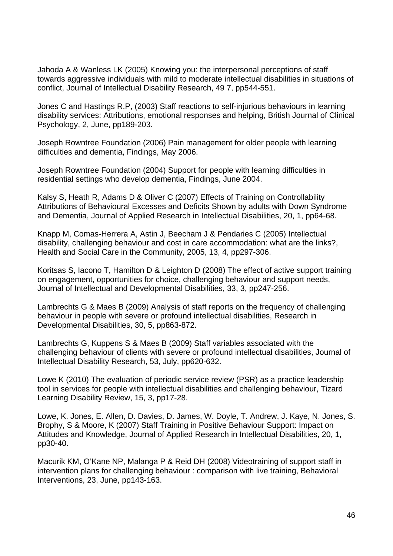Jahoda A & Wanless LK (2005) Knowing you: the interpersonal perceptions of staff towards aggressive individuals with mild to moderate intellectual disabilities in situations of conflict, Journal of Intellectual Disability Research, 49 7, pp544-551.

Jones C and Hastings R.P, (2003) Staff reactions to self-injurious behaviours in learning disability services: Attributions, emotional responses and helping, British Journal of Clinical Psychology, 2, June, pp189-203.

Joseph Rowntree Foundation (2006) Pain management for older people with learning difficulties and dementia, Findings, May 2006.

Joseph Rowntree Foundation (2004) Support for people with learning difficulties in residential settings who develop dementia, Findings, June 2004.

Kalsy S, Heath R, Adams D & Oliver C (2007) Effects of Training on Controllability Attributions of Behavioural Excesses and Deficits Shown by adults with Down Syndrome and Dementia, Journal of Applied Research in Intellectual Disabilities, 20, 1, pp64-68.

Knapp M, Comas-Herrera A, Astin J, Beecham J & Pendaries C (2005) Intellectual disability, challenging behaviour and cost in care accommodation: what are the links?, Health and Social Care in the Community, 2005, 13, 4, pp297-306.

Koritsas S, Iacono T, Hamilton D & Leighton D (2008) The effect of active support training on engagement, opportunities for choice, challenging behaviour and support needs, Journal of Intellectual and Developmental Disabilities, 33, 3, pp247-256.

Lambrechts G & Maes B (2009) Analysis of staff reports on the frequency of challenging behaviour in people with severe or profound intellectual disabilities, Research in Developmental Disabilities, 30, 5, pp863-872.

Lambrechts G, Kuppens S & Maes B (2009) Staff variables associated with the challenging behaviour of clients with severe or profound intellectual disabilities, Journal of Intellectual Disability Research, 53, July, pp620-632.

Lowe K (2010) The evaluation of periodic service review (PSR) as a practice leadership tool in services for people with intellectual disabilities and challenging behaviour, Tizard Learning Disability Review, 15, 3, pp17-28.

Lowe, K. Jones, E. Allen, D. Davies, D. James, W. Doyle, T. Andrew, J. Kaye, N. Jones, S. Brophy, S & Moore, K (2007) Staff Training in Positive Behaviour Support: Impact on Attitudes and Knowledge, Journal of Applied Research in Intellectual Disabilities, 20, 1, pp30-40.

Macurik KM, O'Kane NP, Malanga P & Reid DH (2008) Videotraining of support staff in intervention plans for challenging behaviour : comparison with live training, Behavioral Interventions, 23, June, pp143-163.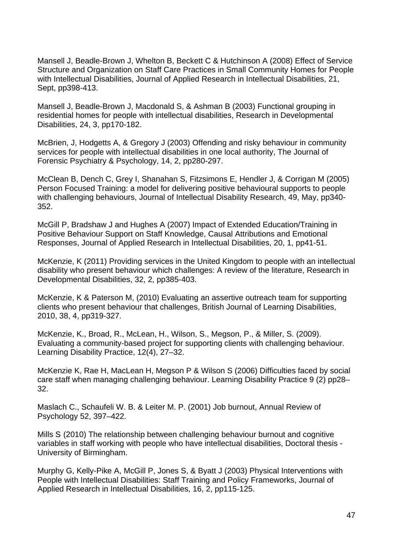Mansell J, Beadle-Brown J, Whelton B, Beckett C & Hutchinson A (2008) Effect of Service Structure and Organization on Staff Care Practices in Small Community Homes for People with Intellectual Disabilities, Journal of Applied Research in Intellectual Disabilities, 21, Sept, pp398-413.

Mansell J, Beadle-Brown J, Macdonald S, & Ashman B (2003) Functional grouping in residential homes for people with intellectual disabilities, Research in Developmental Disabilities, 24, 3, pp170-182.

McBrien, J, Hodgetts A, & Gregory J (2003) Offending and risky behaviour in community services for people with intellectual disabilities in one local authority, The Journal of Forensic Psychiatry & Psychology, 14, 2, pp280-297.

McClean B, Dench C, Grey I, Shanahan S, Fitzsimons E, Hendler J, & Corrigan M (2005) Person Focused Training: a model for delivering positive behavioural supports to people with challenging behaviours, Journal of Intellectual Disability Research, 49, May, pp340- 352.

McGill P, Bradshaw J and Hughes A (2007) Impact of Extended Education/Training in Positive Behaviour Support on Staff Knowledge, Causal Attributions and Emotional Responses, Journal of Applied Research in Intellectual Disabilities, 20, 1, pp41-51.

McKenzie, K (2011) Providing services in the United Kingdom to people with an intellectual disability who present behaviour which challenges: A review of the literature, Research in Developmental Disabilities, 32, 2, pp385-403.

McKenzie, K & Paterson M, (2010) Evaluating an assertive outreach team for supporting clients who present behaviour that challenges, British Journal of Learning Disabilities, 2010, 38, 4, pp319-327.

McKenzie, K., Broad, R., McLean, H., Wilson, S., Megson, P., & Miller, S. (2009). Evaluating a community-based project for supporting clients with challenging behaviour. Learning Disability Practice, 12(4), 27–32.

McKenzie K, Rae H, MacLean H, Megson P & Wilson S (2006) Difficulties faced by social care staff when managing challenging behaviour. Learning Disability Practice 9 (2) pp28– 32.

Maslach C., Schaufeli W. B. & Leiter M. P. (2001) Job burnout, Annual Review of Psychology 52, 397–422.

Mills S (2010) The relationship between challenging behaviour burnout and cognitive variables in staff working with people who have intellectual disabilities, Doctoral thesis - University of Birmingham.

Murphy G, Kelly-Pike A, McGill P, Jones S, & Byatt J (2003) Physical Interventions with People with Intellectual Disabilities: Staff Training and Policy Frameworks, Journal of Applied Research in Intellectual Disabilities, 16, 2, pp115-125.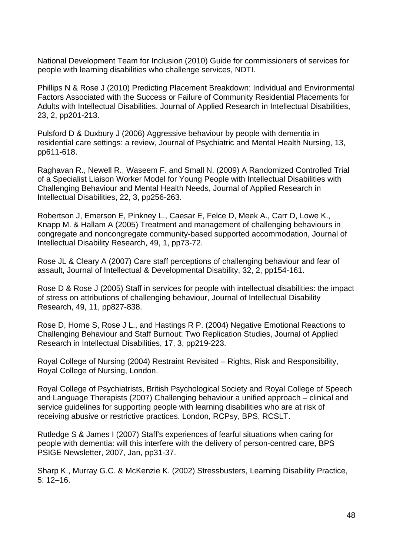National Development Team for Inclusion (2010) Guide for commissioners of services for people with learning disabilities who challenge services, NDTI.

Phillips N & Rose J (2010) Predicting Placement Breakdown: Individual and Environmental Factors Associated with the Success or Failure of Community Residential Placements for Adults with Intellectual Disabilities, Journal of Applied Research in Intellectual Disabilities, 23, 2, pp201-213.

Pulsford D & Duxbury J (2006) Aggressive behaviour by people with dementia in residential care settings: a review, Journal of Psychiatric and Mental Health Nursing, 13, pp611-618.

Raghavan R., Newell R., Waseem F. and Small N. (2009) A Randomized Controlled Trial of a Specialist Liaison Worker Model for Young People with Intellectual Disabilities with Challenging Behaviour and Mental Health Needs, Journal of Applied Research in Intellectual Disabilities, 22, 3, pp256-263.

Robertson J, Emerson E, Pinkney L., Caesar E, Felce D, Meek A., Carr D, Lowe K., Knapp M. & Hallam A (2005) Treatment and management of challenging behaviours in congregate and noncongregate community-based supported accommodation, Journal of Intellectual Disability Research, 49, 1, pp73-72.

Rose JL & Cleary A (2007) Care staff perceptions of challenging behaviour and fear of assault, Journal of Intellectual & Developmental Disability, 32, 2, pp154-161.

Rose D & Rose J (2005) Staff in services for people with intellectual disabilities: the impact of stress on attributions of challenging behaviour, Journal of Intellectual Disability Research, 49, 11, pp827-838.

Rose D, Horne S, Rose J L., and Hastings R P. (2004) Negative Emotional Reactions to Challenging Behaviour and Staff Burnout: Two Replication Studies, Journal of Applied Research in Intellectual Disabilities, 17, 3, pp219-223.

Royal College of Nursing (2004) Restraint Revisited – Rights, Risk and Responsibility, Royal College of Nursing, London.

Royal College of Psychiatrists, British Psychological Society and Royal College of Speech and Language Therapists (2007) Challenging behaviour a unified approach – clinical and service guidelines for supporting people with learning disabilities who are at risk of receiving abusive or restrictive practices. London, RCPsy, BPS, RCSLT.

Rutledge S & James I (2007) Staff's experiences of fearful situations when caring for people with dementia: will this interfere with the delivery of person-centred care, BPS PSIGE Newsletter, 2007, Jan, pp31-37.

Sharp K., Murray G.C. & McKenzie K. (2002) Stressbusters, Learning Disability Practice, 5: 12–16.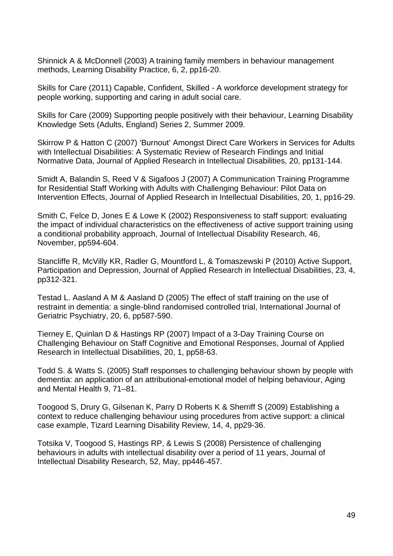Shinnick A & McDonnell (2003) A training family members in behaviour management methods, Learning Disability Practice, 6, 2, pp16-20.

Skills for Care (2011) Capable, Confident, Skilled - A workforce development strategy for people working, supporting and caring in adult social care.

Skills for Care (2009) Supporting people positively with their behaviour, Learning Disability Knowledge Sets (Adults, England) Series 2, Summer 2009.

Skirrow P & Hatton C (2007) 'Burnout' Amongst Direct Care Workers in Services for Adults with Intellectual Disabilities: A Systematic Review of Research Findings and Initial Normative Data, Journal of Applied Research in Intellectual Disabilities, 20, pp131-144.

Smidt A, Balandin S, Reed V & Sigafoos J (2007) A Communication Training Programme for Residential Staff Working with Adults with Challenging Behaviour: Pilot Data on Intervention Effects, Journal of Applied Research in Intellectual Disabilities, 20, 1, pp16-29.

Smith C, Felce D, Jones E & Lowe K (2002) Responsiveness to staff support: evaluating the impact of individual characteristics on the effectiveness of active support training using a conditional probability approach, Journal of Intellectual Disability Research, 46, November, pp594-604.

Stancliffe R, McVilly KR, Radler G, Mountford L, & Tomaszewski P (2010) Active Support, Participation and Depression, Journal of Applied Research in Intellectual Disabilities, 23, 4, pp312-321.

Testad L. Aasland A M & Aasland D (2005) The effect of staff training on the use of restraint in dementia: a single-blind randomised controlled trial, International Journal of Geriatric Psychiatry, 20, 6, pp587-590.

Tierney E, Quinlan D & Hastings RP (2007) Impact of a 3-Day Training Course on Challenging Behaviour on Staff Cognitive and Emotional Responses, Journal of Applied Research in Intellectual Disabilities, 20, 1, pp58-63.

Todd S. & Watts S. (2005) Staff responses to challenging behaviour shown by people with dementia: an application of an attributional-emotional model of helping behaviour, Aging and Mental Health 9, 71–81.

Toogood S, Drury G, Gilsenan K, Parry D Roberts K & Sherriff S (2009) Establishing a context to reduce challenging behaviour using procedures from active support: a clinical case example, Tizard Learning Disability Review, 14, 4, pp29-36.

Totsika V, Toogood S, Hastings RP, & Lewis S (2008) Persistence of challenging behaviours in adults with intellectual disability over a period of 11 years, Journal of Intellectual Disability Research, 52, May, pp446-457.